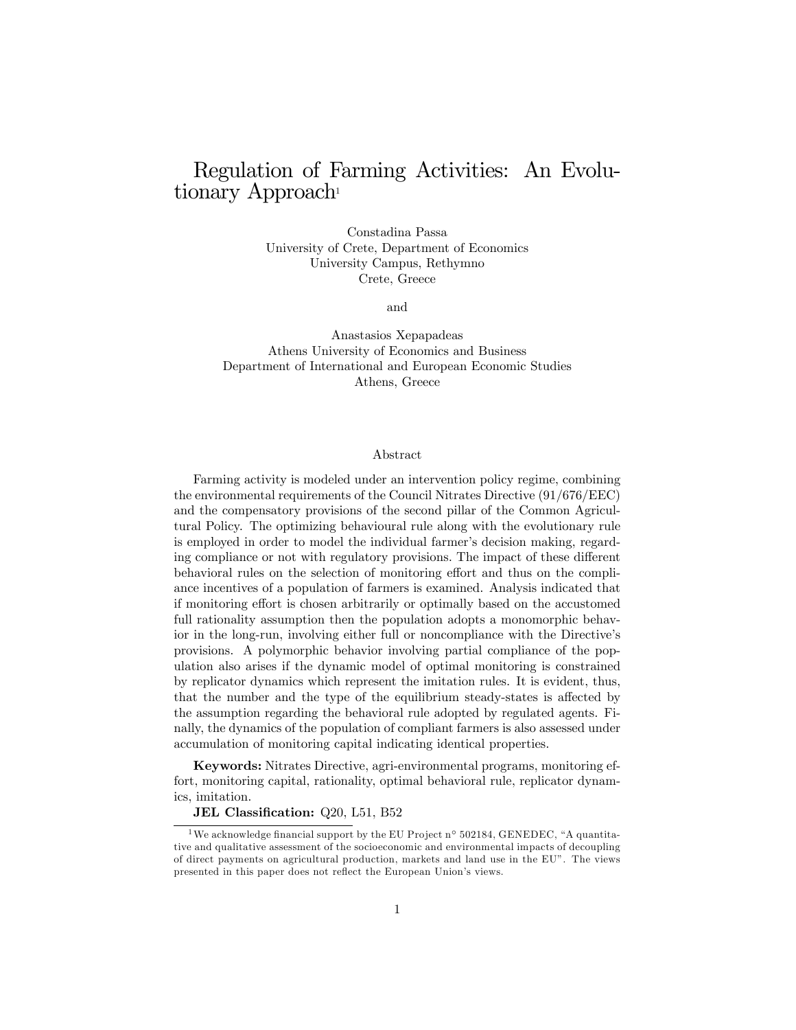# Regulation of Farming Activities: An Evolutionary Approach<sup>1</sup>

Constadina Passa University of Crete, Department of Economics University Campus, Rethymno Crete, Greece

and

Anastasios Xepapadeas Athens University of Economics and Business Department of International and European Economic Studies Athens, Greece

#### Abstract

Farming activity is modeled under an intervention policy regime, combining the environmental requirements of the Council Nitrates Directive (91/676/EEC) and the compensatory provisions of the second pillar of the Common Agricultural Policy. The optimizing behavioural rule along with the evolutionary rule is employed in order to model the individual farmer's decision making, regarding compliance or not with regulatory provisions. The impact of these different behavioral rules on the selection of monitoring effort and thus on the compliance incentives of a population of farmers is examined. Analysis indicated that if monitoring effort is chosen arbitrarily or optimally based on the accustomed full rationality assumption then the population adopts a monomorphic behavior in the long-run, involving either full or noncompliance with the Directive's provisions. A polymorphic behavior involving partial compliance of the population also arises if the dynamic model of optimal monitoring is constrained by replicator dynamics which represent the imitation rules. It is evident, thus, that the number and the type of the equilibrium steady-states is affected by the assumption regarding the behavioral rule adopted by regulated agents. Finally, the dynamics of the population of compliant farmers is also assessed under accumulation of monitoring capital indicating identical properties.

**Keywords:** Nitrates Directive, agri-environmental programs, monitoring effort, monitoring capital, rationality, optimal behavioral rule, replicator dynamics. imitation.

JEL Classification: Q20, L51, B52

<sup>&</sup>lt;sup>1</sup>We acknowledge financial support by the EU Project n° 502184, GENEDEC, "A quantitative and qualitative assessment of the socioeconomic and environmental impacts of decoupling of direct payments on agricultural production, markets and land use in the EU". The views presented in this paper does not reflect the European Union's views.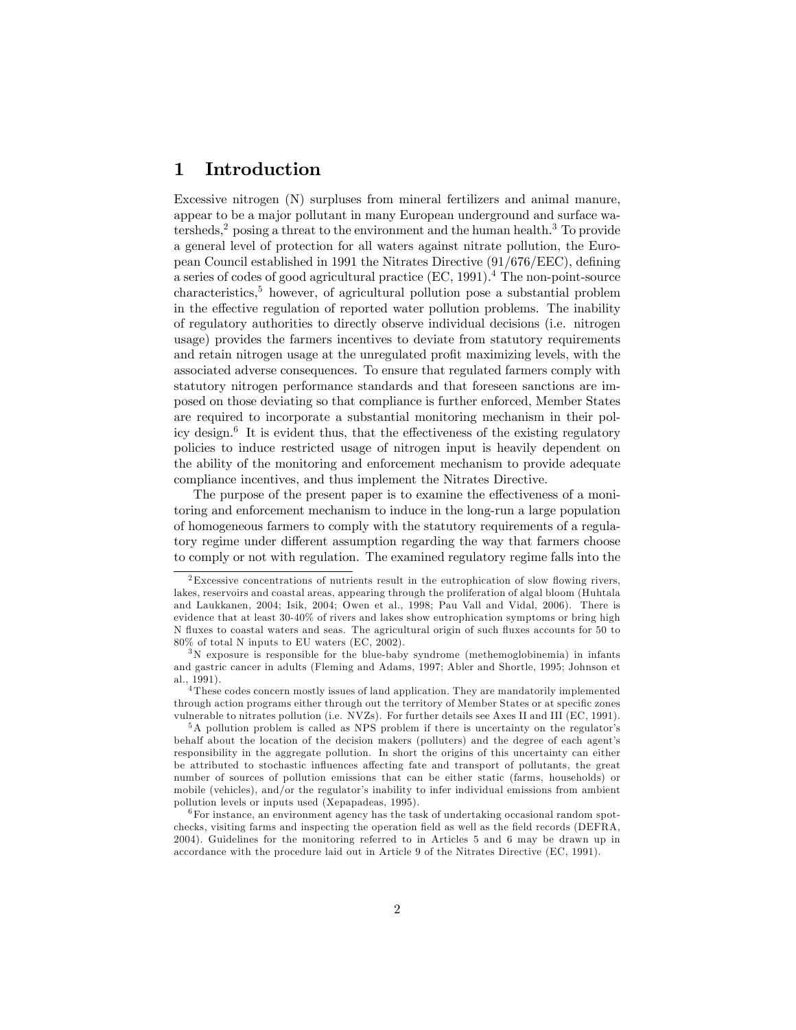## 1 Introduction

Excessive nitrogen (N) surpluses from mineral fertilizers and animal manure, appear to be a major pollutant in many European underground and surface watersheds,<sup>2</sup> posing a threat to the environment and the human health.<sup>3</sup> To provide a general level of protection for all waters against nitrate pollution, the European Council established in 1991 the Nitrates Directive  $(91/676/EEC)$ , defining a series of codes of good agricultural practice (EC, 1991).<sup>4</sup> The non-point-source characteristics,<sup>5</sup> however, of agricultural pollution pose a substantial problem in the effective regulation of reported water pollution problems. The inability of regulatory authorities to directly observe individual decisions (i.e. nitrogen usage) provides the farmers incentives to deviate from statutory requirements and retain nitrogen usage at the unregulated profit maximizing levels, with the associated adverse consequences. To ensure that regulated farmers comply with statutory nitrogen performance standards and that foreseen sanctions are imposed on those deviating so that compliance is further enforced, Member States are required to incorporate a substantial monitoring mechanism in their policy design.<sup>6</sup> It is evident thus, that the effectiveness of the existing regulatory policies to induce restricted usage of nitrogen input is heavily dependent on the ability of the monitoring and enforcement mechanism to provide adequate compliance incentives, and thus implement the Nitrates Directive.

The purpose of the present paper is to examine the effectiveness of a monitoring and enforcement mechanism to induce in the long-run a large population of homogeneous farmers to comply with the statutory requirements of a regulatory regime under different assumption regarding the way that farmers choose to comply or not with regulation. The examined regulatory regime falls into the

 $2$ Excessive concentrations of nutrients result in the eutrophication of slow flowing rivers, lakes, reservoirs and coastal areas, appearing through the proliferation of algal bloom (Huhtala and Laukkanen, 2004; Isik, 2004; Owen et al., 1998; Pau Vall and Vidal, 2006). There is evidence that at least 30-40% of rivers and lakes show eutrophication symptoms or bring high N fluxes to coastal waters and seas. The agricultural origin of such fluxes accounts for 50 to 80% of total N inputs to EU waters (EC, 2002).

<sup>3</sup>N exposure is responsible for the blue-baby syndrome (methemoglobinemia) in infants and gastric cancer in adults (Fleming and Adams, 1997; Abler and Shortle, 1995; Johnson et al., 1991).

<sup>&</sup>lt;sup>4</sup> These codes concern mostly issues of land application. They are mandatorily implemented through action programs either through out the territory of Member States or at specific zones vulnerable to nitrates pollution (i.e. NVZs). For further details see Axes II and III (EC, 1991).

 $5A$  pollution problem is called as NPS problem if there is uncertainty on the regulator's behalf about the location of the decision makers (polluters) and the degree of each agent's responsibility in the aggregate pollution. In short the origins of this uncertainty can either be attributed to stochastic influences affecting fate and transport of pollutants, the great number of sources of pollution emissions that can be either static (farms, households) or mobile (vehicles), and/or the regulator's inability to infer individual emissions from ambient pollution levels or inputs used (Xepapadeas, 1995).

 $6$  For instance, an environment agency has the task of undertaking occasional random spotchecks, visiting farms and inspecting the operation field as well as the field records (DEFRA, 2004). Guidelines for the monitoring referred to in Articles 5 and 6 may be drawn up in accordance with the procedure laid out in Article 9 of the Nitrates Directive (EC, 1991).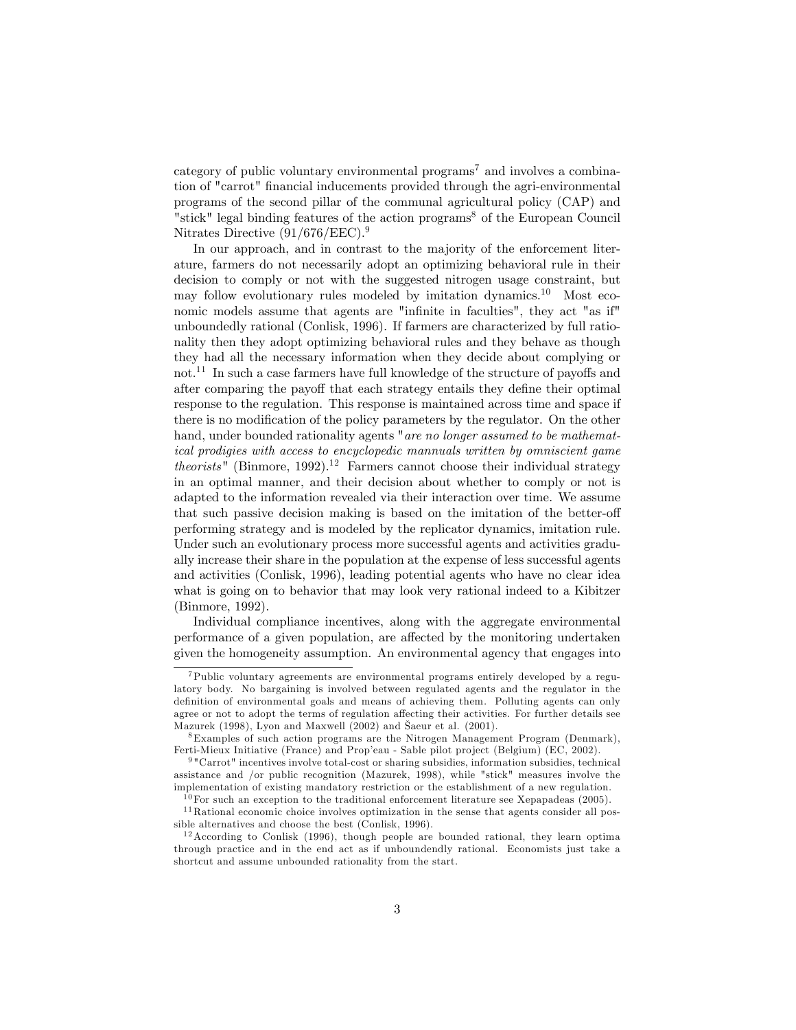category of public voluntary environmental programs<sup>7</sup> and involves a combination of "carrot" financial inducements provided through the agri-environmental programs of the second pillar of the communal agricultural policy (CAP) and "stick" legal binding features of the action programs<sup>8</sup> of the European Council Nitrates Directive  $(91/676/EEC)^9$ .

In our approach, and in contrast to the majority of the enforcement literature, farmers do not necessarily adopt an optimizing behavioral rule in their decision to comply or not with the suggested nitrogen usage constraint, but may follow evolutionary rules modeled by imitation dynamics.<sup>10</sup> Most economic models assume that agents are "infinite in faculties", they act "as if" unboundedly rational (Conlisk, 1996). If farmers are characterized by full rationality then they adopt optimizing behavioral rules and they behave as though they had all the necessary information when they decide about complying or  $\mathrm{not}$ .<sup>11</sup> In such a case farmers have full knowledge of the structure of payoffs and after comparing the payoff that each strategy entails they define their optimal response to the regulation. This response is maintained across time and space if there is no modification of the policy parameters by the regulator. On the other hand, under bounded rationality agents "are no longer assumed to be mathematical prodigies with access to encyclopedic mannuals written by omniscient game theorists" (Binmore, 1992).<sup>12</sup> Farmers cannot choose their individual strategy in an optimal manner, and their decision about whether to comply or not is adapted to the information revealed via their interaction over time. We assume that such passive decision making is based on the imitation of the better-off performing strategy and is modeled by the replicator dynamics, imitation rule. Under such an evolutionary process more successful agents and activities gradually increase their share in the population at the expense of less successful agents and activities (Conlisk, 1996), leading potential agents who have no clear idea what is going on to behavior that may look very rational indeed to a Kibitzer (Binmore, 1992).

Individual compliance incentives, along with the aggregate environmental performance of a given population, are affected by the monitoring undertaken given the homogeneity assumption. An environmental agency that engages into

<sup>7</sup>Public voluntary agreements are environmental programs entirely developed by a regulatory body. No bargaining is involved between regulated agents and the regulator in the definition of environmental goals and means of achieving them. Polluting agents can only agree or not to adopt the terms of regulation affecting their activities. For further details see Mazurek (1998), Lyon and Maxwell (2002) and äaeur et al. (2001).

<sup>8</sup>Examples of such action programs are the Nitrogen Management Program (Denmark), Ferti-Mieux Initiative (France) and Prop'eau - Sable pilot project (Belgium) (EC, 2002).

<sup>9</sup> "Carrot" incentives involve total-cost or sharing subsidies, information subsidies, technical assistance and /or public recognition (Mazurek, 1998), while "stick" measures involve the implementation of existing mandatory restriction or the establishment of a new regulation.

 $10$  For such an exception to the traditional enforcement literature see Xepapadeas (2005).

<sup>&</sup>lt;sup>11</sup>Rational economic choice involves optimization in the sense that agents consider all possible alternatives and choose the best (Conlisk, 1996).

 $12$  According to Conlisk (1996), though people are bounded rational, they learn optima through practice and in the end act as if unboundendly rational. Economists just take a shortcut and assume unbounded rationality from the start.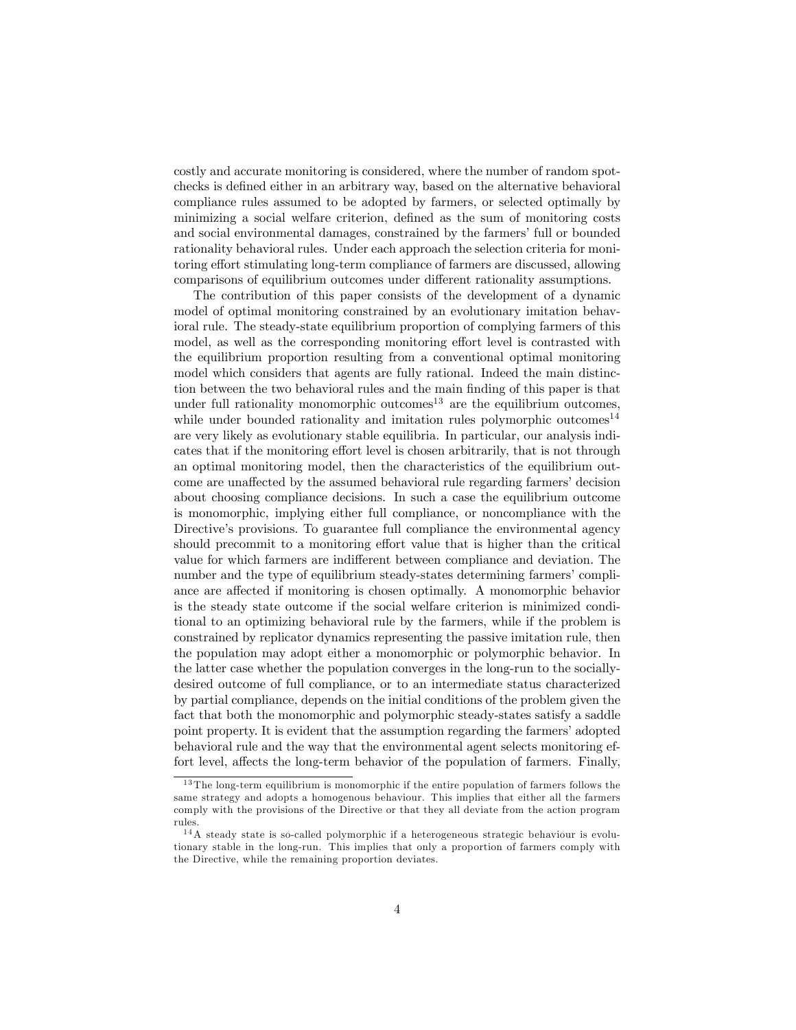costly and accurate monitoring is considered, where the number of random spotchecks is defined either in an arbitrary way, based on the alternative behavioral compliance rules assumed to be adopted by farmers, or selected optimally by minimizing a social welfare criterion, defined as the sum of monitoring costs and social environmental damages, constrained by the farmers' full or bounded rationality behavioral rules. Under each approach the selection criteria for monitoring effort stimulating long-term compliance of farmers are discussed, allowing comparisons of equilibrium outcomes under different rationality assumptions.

The contribution of this paper consists of the development of a dynamic model of optimal monitoring constrained by an evolutionary imitation behavioral rule. The steady-state equilibrium proportion of complying farmers of this model, as well as the corresponding monitoring effort level is contrasted with the equilibrium proportion resulting from a conventional optimal monitoring model which considers that agents are fully rational. Indeed the main distinction between the two behavioral rules and the main finding of this paper is that under full rationality monomorphic outcomes<sup>13</sup> are the equilibrium outcomes, while under bounded rationality and imitation rules polymorphic outcomes<sup>14</sup> are very likely as evolutionary stable equilibria. In particular, our analysis indicates that if the monitoring effort level is chosen arbitrarily, that is not through an optimal monitoring model, then the characteristics of the equilibrium outcome are unaffected by the assumed behavioral rule regarding farmers' decision about choosing compliance decisions. In such a case the equilibrium outcome is monomorphic, implying either full compliance, or noncompliance with the Directive's provisions. To guarantee full compliance the environmental agency should precommit to a monitoring effort value that is higher than the critical value for which farmers are indifferent between compliance and deviation. The number and the type of equilibrium steady-states determining farmers' compliance are affected if monitoring is chosen optimally. A monomorphic behavior is the steady state outcome if the social welfare criterion is minimized conditional to an optimizing behavioral rule by the farmers, while if the problem is constrained by replicator dynamics representing the passive imitation rule, then the population may adopt either a monomorphic or polymorphic behavior. In the latter case whether the population converges in the long-run to the sociallydesired outcome of full compliance, or to an intermediate status characterized by partial compliance, depends on the initial conditions of the problem given the fact that both the monomorphic and polymorphic steady-states satisfy a saddle point property. It is evident that the assumption regarding the farmers' adopted behavioral rule and the way that the environmental agent selects monitoring effort level, affects the long-term behavior of the population of farmers. Finally,

<sup>&</sup>lt;sup>13</sup> The long-term equilibrium is monomorphic if the entire population of farmers follows the same strategy and adopts a homogenous behaviour. This implies that either all the farmers comply with the provisions of the Directive or that they all deviate from the action program rules.

 $14A$  steady state is so-called polymorphic if a heterogeneous strategic behaviour is evolutionary stable in the long-run. This implies that only a proportion of farmers comply with the Directive, while the remaining proportion deviates.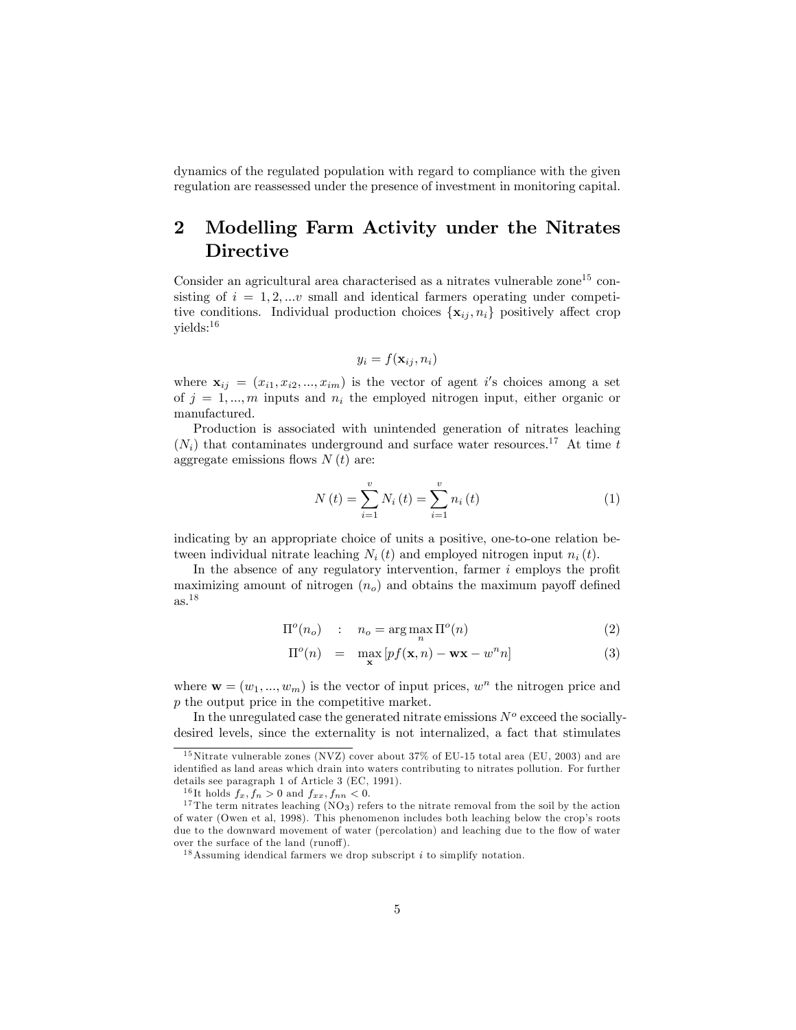dynamics of the regulated population with regard to compliance with the given regulation are reassessed under the presence of investment in monitoring capital.

## 2 Modelling Farm Activity under the Nitrates Directive

Consider an agricultural area characterised as a nitrates vulnerable zone<sup>15</sup> consisting of  $i = 1, 2, ...v$  small and identical farmers operating under competitive conditions. Individual production choices  $\{x_{ii}, n_i\}$  positively affect crop yields:<sup>16</sup>

$$
y_i = f(\mathbf{x}_{ij}, n_i)
$$

where  $\mathbf{x}_{ij} = (x_{i1}, x_{i2}, ..., x_{im})$  is the vector of agent i's choices among a set of  $j = 1, \ldots, m$  inputs and  $n_i$  the employed nitrogen input, either organic or manufactured.

Production is associated with unintended generation of nitrates leaching  $(N_i)$  that contaminates underground and surface water resources.<sup>17</sup> At time t aggregate emissions flows  $N(t)$  are:

$$
N(t) = \sum_{i=1}^{v} N_i(t) = \sum_{i=1}^{v} n_i(t)
$$
 (1)

indicating by an appropriate choice of units a positive, one-to-one relation between individual nitrate leaching  $N_i(t)$  and employed nitrogen input  $n_i(t)$ .

In the absence of any regulatory intervention, farmer  $i$  employs the profit maximizing amount of nitrogen  $(n<sub>o</sub>)$  and obtains the maximum payoff defined as.<sup>18</sup>

$$
\Pi^o(n_o) \quad : \quad n_o = \arg \max_n \Pi^o(n) \tag{2}
$$

$$
\Pi^{o}(n) = \max_{\mathbf{x}} [pf(\mathbf{x}, n) - \mathbf{w}\mathbf{x} - w^{n}n]
$$
 (3)

where  $\mathbf{w} = (w_1, ..., w_m)$  is the vector of input prices,  $w^n$  the nitrogen price and p the output price in the competitive market.

In the unregulated case the generated nitrate emissions  $N<sup>o</sup>$  exceed the sociallydesired levels, since the externality is not internalized, a fact that stimulates

 $15$ Nitrate vulnerable zones (NVZ) cover about 37% of EU-15 total area (EU, 2003) and are identified as land areas which drain into waters contributing to nitrates pollution. For further details see paragraph 1 of Article 3 (EC, 1991).

<sup>&</sup>lt;sup>16</sup>It holds  $f_x, f_n > 0$  and  $f_{xx}, f_{nn} < 0$ .

 $17$  The term nitrates leaching (NO<sub>3</sub>) refers to the nitrate removal from the soil by the action of water (Owen et al, 1998). This phenomenon includes both leaching below the crop's roots due to the downward movement of water (percolation) and leaching due to the flow of water over the surface of the land (runoff).

<sup>&</sup>lt;sup>18</sup> Assuming idendical farmers we drop subscript  $i$  to simplify notation.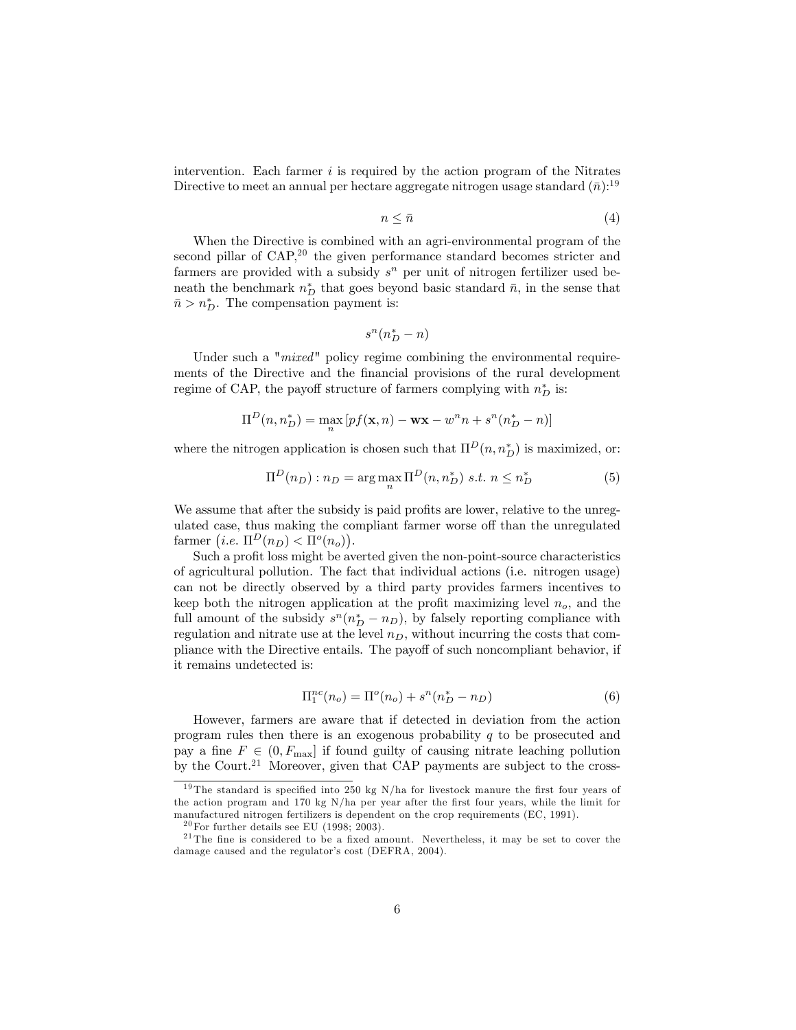intervention. Each farmer  $i$  is required by the action program of the Nitrates Directive to meet an annual per hectare aggregate nitrogen usage standard  $(\bar{n})$ :<sup>19</sup>

$$
n \leq \bar{n} \tag{4}
$$

When the Directive is combined with an agri-environmental program of the second pillar of  $CAP<sub>1</sub><sup>20</sup>$  the given performance standard becomes stricter and farmers are provided with a subsidy  $s<sup>n</sup>$  per unit of nitrogen fertilizer used beneath the benchmark  $n_D^*$  that goes beyond basic standard  $\bar{n}$ , in the sense that  $\bar{n} > n_D^*$ . The compensation payment is:

$$
s^n \big(n_D^* - n\big)
$$

Under such a " $mixed$ " policy regime combining the environmental requirements of the Directive and the financial provisions of the rural development regime of CAP, the payoff structure of farmers complying with  $n_D^*$  is:

$$
\Pi^{D}(n, n_D^*) = \max_{n} \left[ pf(\mathbf{x}, n) - \mathbf{w}\mathbf{x} - w^n n + s^n (n_D^* - n) \right]
$$

where the nitrogen application is chosen such that  $\Pi^D(n, n_D^*)$  is maximized, or:

$$
\Pi^{D}(n_{D}): n_{D} = \underset{n}{\arg\max} \Pi^{D}(n, n_{D}^{*}) \text{ s.t. } n \leq n_{D}^{*}
$$
 (5)

We assume that after the subsidy is paid profits are lower, relative to the unregulated case, thus making the compliant farmer worse off than the unregulated farmer  $(i.e. \Pi^D(n_D) < \Pi^o(n_o)).$ 

Such a profit loss might be averted given the non-point-source characteristics of agricultural pollution. The fact that individual actions (i.e. nitrogen usage) can not be directly observed by a third party provides farmers incentives to keep both the nitrogen application at the profit maximizing level  $n_o$ , and the full amount of the subsidy  $s^n(n_D^* - n_D)$ , by falsely reporting compliance with regulation and nitrate use at the level  $n_D$ , without incurring the costs that compliance with the Directive entails. The payoff of such noncompliant behavior, if it remains undetected is:

$$
\Pi_1^{nc}(n_o) = \Pi^o(n_o) + s^n(n_D^* - n_D)
$$
\n(6)

However, farmers are aware that if detected in deviation from the action program rules then there is an exogenous probability  $q$  to be prosecuted and pay a fine  $F \in (0, F_{\text{max}}]$  if found guilty of causing nitrate leaching pollution by the Court.<sup>21</sup> Moreover, given that CAP payments are subject to the cross-

<sup>&</sup>lt;sup>19</sup> The standard is specified into 250 kg N/ha for livestock manure the first four years of the action program and 170 kg  $N/ha$  per year after the first four years, while the limit for manufactured nitrogen fertilizers is dependent on the crop requirements (EC, 1991).

 $20$  For further details see EU (1998; 2003).

 $21$ The fine is considered to be a fixed amount. Nevertheless, it may be set to cover the damage caused and the regulator's cost (DEFRA, 2004).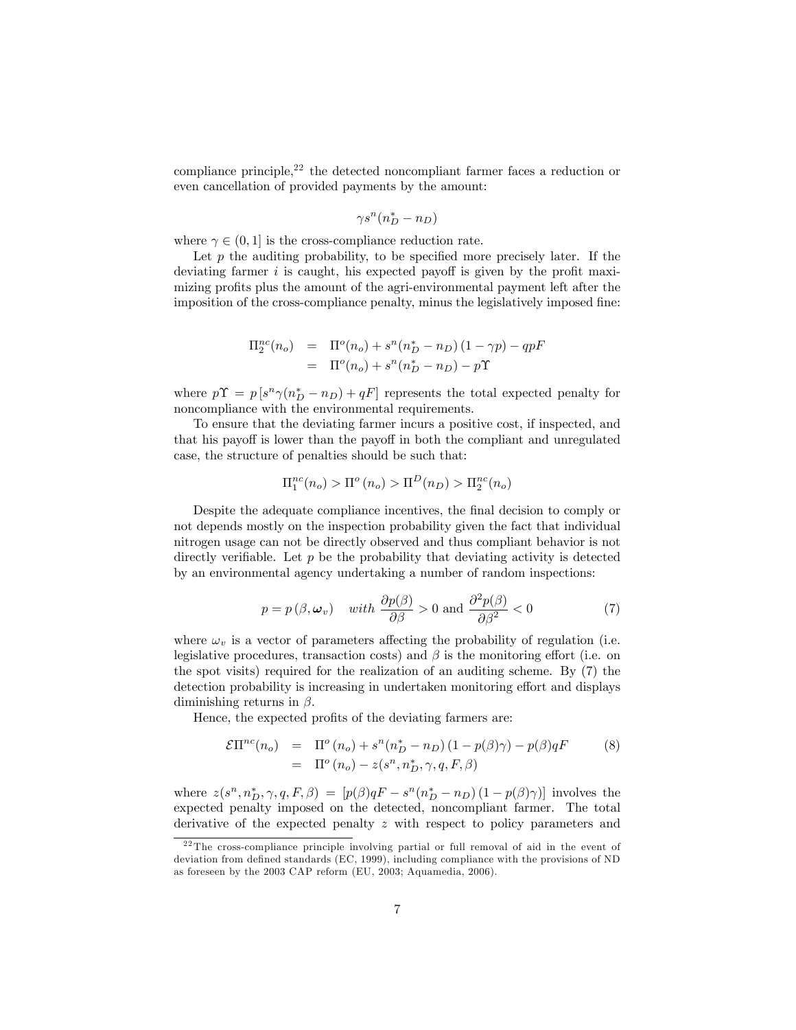compliance principle,<sup>22</sup> the detected noncompliant farmer faces a reduction or even cancellation of provided payments by the amount:

$$
\gamma s^n (n_D^* - n_D)
$$

where  $\gamma \in (0, 1]$  is the cross-compliance reduction rate.

Let  $p$  the auditing probability, to be specified more precisely later. If the deviating farmer  $i$  is caught, his expected payoff is given by the profit maximizing profits plus the amount of the agri-environmental payment left after the imposition of the cross-compliance penalty, minus the legislatively imposed fine:

$$
\Pi_2^{nc}(n_o) = \Pi^o(n_o) + s^n(n_D^* - n_D) (1 - \gamma p) - qpF \n= \Pi^o(n_o) + s^n(n_D^* - n_D) - p\Upsilon
$$

where  $p\Upsilon = p[s^n\gamma(n_D^* - n_D) + qF]$  represents the total expected penalty for noncompliance with the environmental requirements.

To ensure that the deviating farmer incurs a positive cost, if inspected, and that his payoff is lower than the payoff in both the compliant and unregulated case, the structure of penalties should be such that:

$$
\Pi_1^{nc}(n_o) > \Pi^o(n_o) > \Pi^D(n_D) > \Pi_2^{nc}(n_o)
$$

Despite the adequate compliance incentives, the final decision to comply or not depends mostly on the inspection probability given the fact that individual nitrogen usage can not be directly observed and thus compliant behavior is not directly verifiable. Let  $p$  be the probability that deviating activity is detected by an environmental agency undertaking a number of random inspections:

$$
p = p(\beta, \omega_v)
$$
 with  $\frac{\partial p(\beta)}{\partial \beta} > 0$  and  $\frac{\partial^2 p(\beta)}{\partial \beta^2} < 0$  (7)

where  $\omega_{v}$  is a vector of parameters affecting the probability of regulation (i.e. legislative procedures, transaction costs) and  $\beta$  is the monitoring effort (i.e. on the spot visits) required for the realization of an auditing scheme. By (7) the detection probability is increasing in undertaken monitoring effort and displays diminishing returns in  $\beta$ .

Hence, the expected profits of the deviating farmers are:

$$
\mathcal{E}\Pi^{nc}(n_o) = \Pi^o(n_o) + s^n(n_D^* - n_D)(1 - p(\beta)\gamma) - p(\beta)qF
$$
\n
$$
= \Pi^o(n_o) - z(s^n, n_D^*, \gamma, q, F, \beta)
$$
\n(8)

where  $z(s^n, n_D^*, \gamma, q, F, \beta) = [p(\beta)qF - s^n(n_D^* - n_D)(1 - p(\beta)\gamma)]$  involves the expected penalty imposed on the detected, noncompliant farmer. The total derivative of the expected penalty z with respect to policy parameters and

 $22$ The cross-compliance principle involving partial or full removal of aid in the event of deviation from defined standards (EC, 1999), including compliance with the provisions of ND as foreseen by the 2003 CAP reform (EU, 2003; Aquamedia, 2006).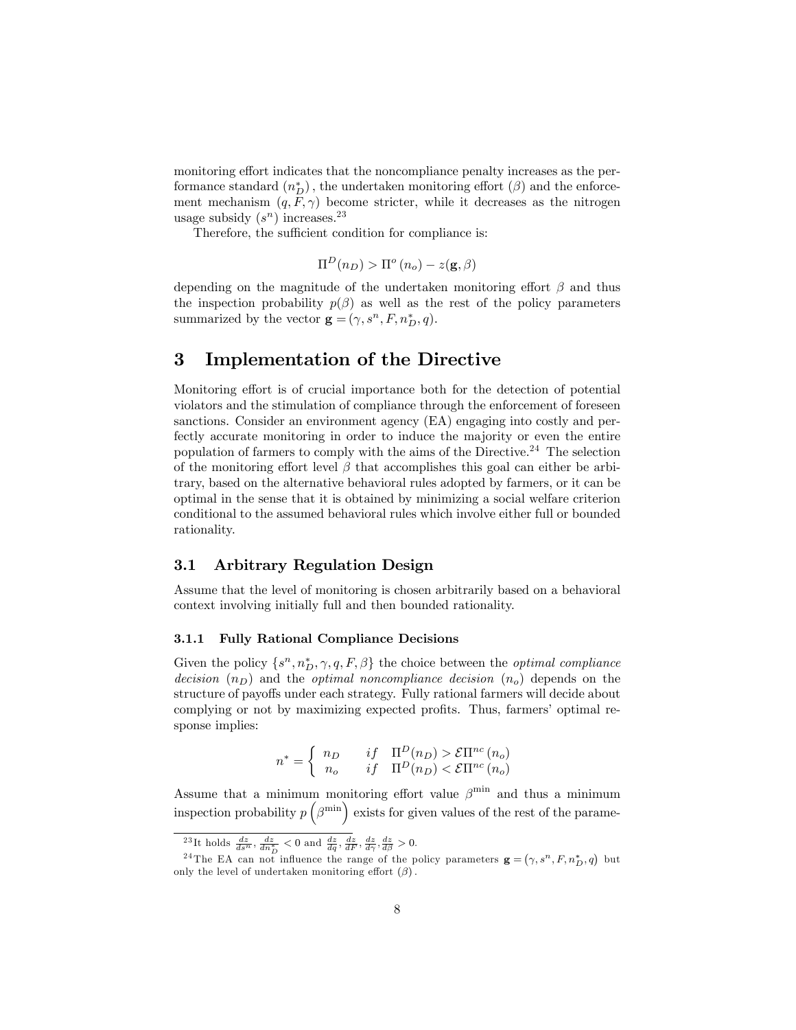monitoring effort indicates that the noncompliance penalty increases as the performance standard  $(n_D^*)$ , the undertaken monitoring effort  $(\beta)$  and the enforcement mechanism  $(q, F, \gamma)$  become stricter, while it decreases as the nitrogen usage subsidy  $(s^n)$  increases.<sup>23</sup>

Therefore, the sufficient condition for compliance is:

$$
\Pi^{D}(n_D) > \Pi^o(n_o) - z(\mathbf{g}, \beta)
$$

depending on the magnitude of the undertaken monitoring effort  $\beta$  and thus the inspection probability  $p(\beta)$  as well as the rest of the policy parameters summarized by the vector  $\mathbf{g} = (\gamma, s^n, F, n_D^*, q)$ .

## 3 Implementation of the Directive

Monitoring effort is of crucial importance both for the detection of potential violators and the stimulation of compliance through the enforcement of foreseen sanctions. Consider an environment agency (EA) engaging into costly and perfectly accurate monitoring in order to induce the majority or even the entire population of farmers to comply with the aims of the Directive.<sup>24</sup> The selection of the monitoring effort level  $\beta$  that accomplishes this goal can either be arbitrary, based on the alternative behavioral rules adopted by farmers, or it can be optimal in the sense that it is obtained by minimizing a social welfare criterion conditional to the assumed behavioral rules which involve either full or bounded rationality.

### 3.1 Arbitrary Regulation Design

Assume that the level of monitoring is chosen arbitrarily based on a behavioral context involving initially full and then bounded rationality.

#### 3.1.1 Fully Rational Compliance Decisions

Given the policy  $\{s^n, n_D^*, \gamma, q, F, \beta\}$  the choice between the *optimal compliance* decision  $(n_D)$  and the *optimal noncompliance decision*  $(n_o)$  depends on the structure of payoffs under each strategy. Fully rational farmers will decide about complying or not by maximizing expected profits. Thus, farmers' optimal response implies:

$$
n^* = \begin{cases} n_D & if \quad \Pi^D(n_D) > \mathcal{E} \Pi^{nc}(n_o) \\ n_o & if \quad \Pi^D(n_D) < \mathcal{E} \Pi^{nc}(n_o) \end{cases}
$$

Assume that a minimum monitoring effort value  $\beta^{\min}$  and thus a minimum inspection probability  $p\left(\beta^{\min}\right)$  exists for given values of the rest of the parame-

<sup>&</sup>lt;sup>23</sup>It holds  $\frac{dz}{ds^n}$ ,  $\frac{dz}{dn_p^*} < 0$  and  $\frac{dz}{dq}$ ,  $\frac{dz}{dF}$ ,  $\frac{dz}{d\gamma}$ ,  $\frac{dz}{d\beta} > 0$ .

<sup>&</sup>lt;sup>24</sup>The EA can not influence the range of the policy parameters  $\mathbf{g} = (\gamma, s^n, F, n_D^*, q)$  but only the level of undertaken monitoring effort  $(\beta)$ .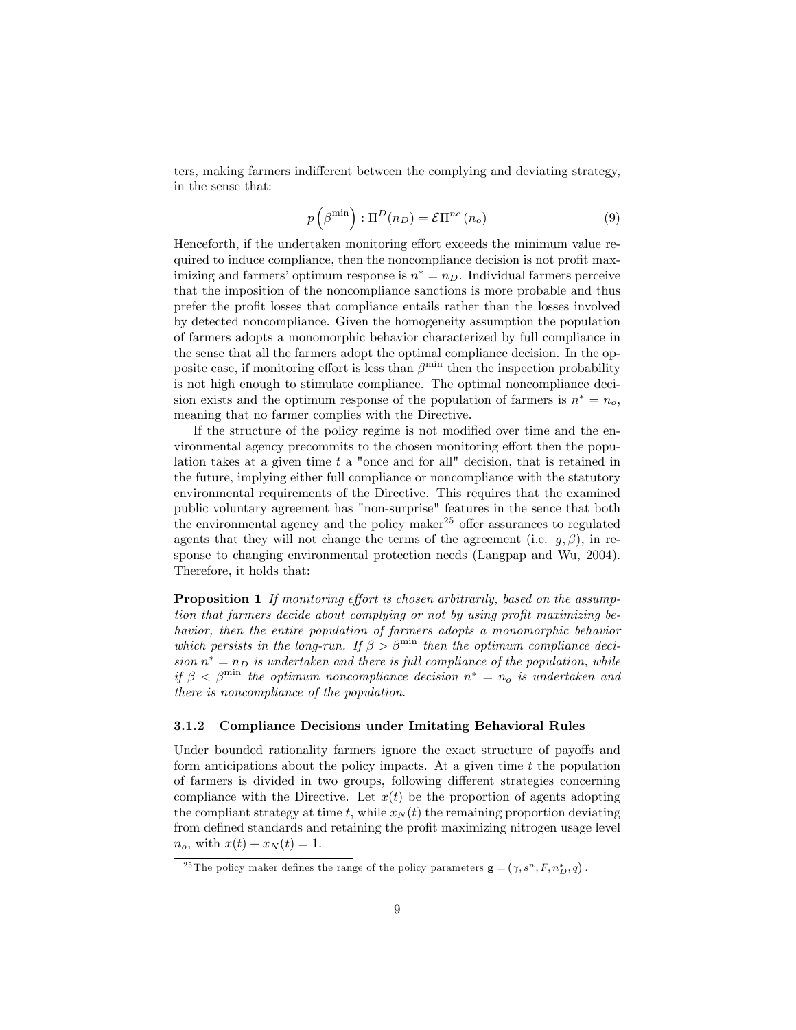ters, making farmers indifferent between the complying and deviating strategy, in the sense that:

$$
p\left(\beta^{\min}\right) : \Pi^{D}(n_{D}) = \mathcal{E}\Pi^{nc}(n_{o})
$$
\n(9)

Henceforth, if the undertaken monitoring effort exceeds the minimum value required to induce compliance, then the noncompliance decision is not profit maximizing and farmers' optimum response is  $n^* = n_D$ . Individual farmers perceive that the imposition of the noncompliance sanctions is more probable and thus prefer the profit losses that compliance entails rather than the losses involved by detected noncompliance. Given the homogeneity assumption the population of farmers adopts a monomorphic behavior characterized by full compliance in the sense that all the farmers adopt the optimal compliance decision. In the opposite case, if monitoring effort is less than  $\beta^{\min}$  then the inspection probability is not high enough to stimulate compliance. The optimal noncompliance decision exists and the optimum response of the population of farmers is  $n^* = n_o$ , meaning that no farmer complies with the Directive.

If the structure of the policy regime is not modified over time and the environmental agency precommits to the chosen monitoring effort then the population takes at a given time  $t$  a "once and for all" decision, that is retained in the future, implying either full compliance or noncompliance with the statutory environmental requirements of the Directive. This requires that the examined public voluntary agreement has "non-surprise" features in the sence that both the environmental agency and the policy maker<sup>25</sup> offer assurances to regulated agents that they will not change the terms of the agreement (i.e.  $q, \beta$ ), in response to changing environmental protection needs (Langpap and Wu, 2004). Therefore, it holds that:

**Proposition 1** If monitoring effort is chosen arbitrarily, based on the assumption that farmers decide about complying or not by using profit maximizing behavior, then the entire population of farmers adopts a monomorphic behavior which persists in the long-run. If  $\beta > \beta^{\min}$  then the optimum compliance decision  $n^* = n_D$  is undertaken and there is full compliance of the population, while if  $\beta < \beta^{\min}$  the optimum noncompliance decision  $n^* = n_o$  is undertaken and there is noncompliance of the population:

#### 3.1.2 Compliance Decisions under Imitating Behavioral Rules

Under bounded rationality farmers ignore the exact structure of payoffs and form anticipations about the policy impacts. At a given time  $t$  the population of farmers is divided in two groups, following different strategies concerning compliance with the Directive. Let  $x(t)$  be the proportion of agents adopting the compliant strategy at time t, while  $x_N(t)$  the remaining proportion deviating from defined standards and retaining the profit maximizing nitrogen usage level  $n_o$ , with  $x(t) + x_N(t) = 1$ .

<sup>&</sup>lt;sup>25</sup>The policy maker defines the range of the policy parameters  $\mathbf{g} = (\gamma, s^n, F, n_D^*, q)$ .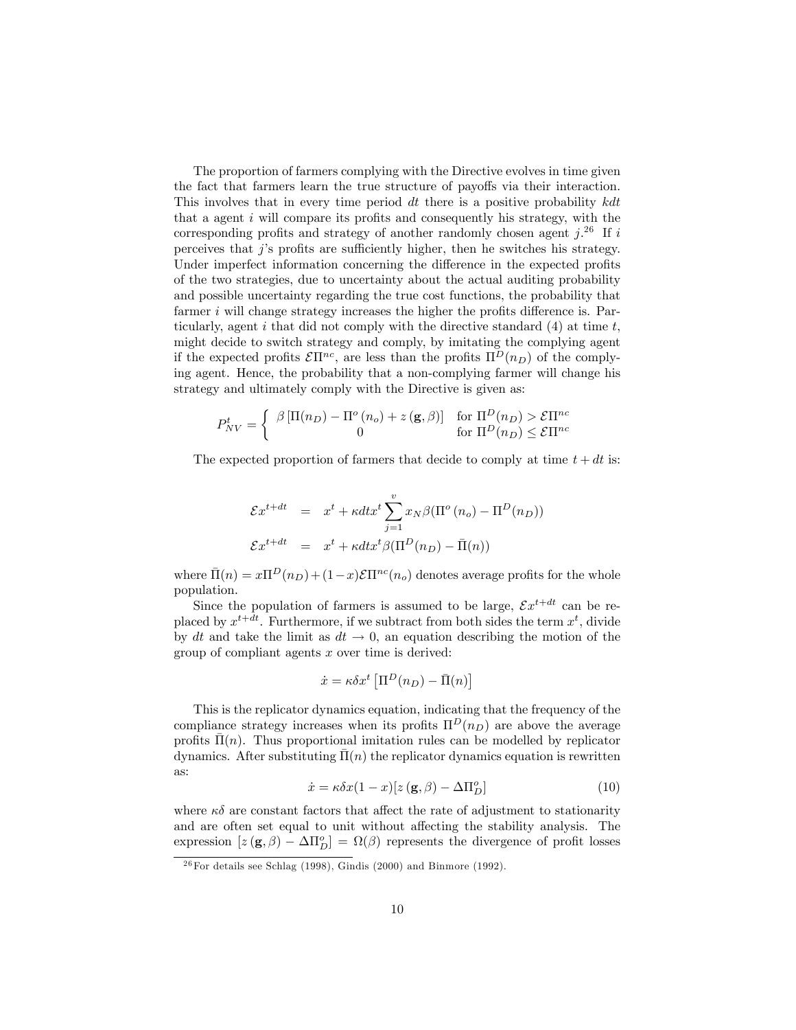The proportion of farmers complying with the Directive evolves in time given the fact that farmers learn the true structure of payoffs via their interaction. This involves that in every time period  $dt$  there is a positive probability  $kdt$ that a agent  $i$  will compare its profits and consequently his strategy, with the corresponding profits and strategy of another randomly chosen agent  $j^{26}$  If i perceives that  $j$ 's profits are sufficiently higher, then he switches his strategy. Under imperfect information concerning the difference in the expected profits of the two strategies, due to uncertainty about the actual auditing probability and possible uncertainty regarding the true cost functions, the probability that farmer  $i$  will change strategy increases the higher the profits difference is. Particularly, agent i that did not comply with the directive standard  $(4)$  at time t, might decide to switch strategy and comply, by imitating the complying agent if the expected profits  $\mathcal{E}\Pi^{nc}$ , are less than the profits  $\Pi^{D}(n_{D})$  of the complying agent. Hence, the probability that a non-complying farmer will change his strategy and ultimately comply with the Directive is given as:

$$
P_{NV}^t = \begin{cases} \beta \left[ \Pi(n_D) - \Pi^o(n_o) + z\left(\mathbf{g}, \beta\right) \right] & \text{for } \Pi^D(n_D) > \mathcal{E} \Pi^{nc} \\ 0 & \text{for } \Pi^D(n_D) \leq \mathcal{E} \Pi^{nc} \end{cases}
$$

The expected proportion of farmers that decide to comply at time  $t + dt$  is:

$$
\mathcal{E}x^{t+dt} = x^t + \kappa dt x^t \sum_{j=1}^v x_N \beta(\Pi^o(n_o) - \Pi^D(n_D))
$$
  

$$
\mathcal{E}x^{t+dt} = x^t + \kappa dt x^t \beta(\Pi^D(n_D) - \bar{\Pi}(n))
$$

where  $\bar{\Pi}(n) = x\Pi^D(n_D) + (1-x)\mathcal{E}\Pi^{nc}(n_o)$  denotes average profits for the whole population.

Since the population of farmers is assumed to be large,  $\mathcal{E}x^{t+dt}$  can be replaced by  $x^{t+dt}$ . Furthermore, if we subtract from both sides the term  $x^t$ , divide by dt and take the limit as  $dt \to 0$ , an equation describing the motion of the group of compliant agents  $x$  over time is derived:

$$
\dot{x} = \kappa \delta x^t \left[ \Pi^D(n_D) - \bar{\Pi}(n) \right]
$$

This is the replicator dynamics equation, indicating that the frequency of the compliance strategy increases when its profits  $\Pi^D(n_D)$  are above the average profits  $\Pi(n)$ . Thus proportional imitation rules can be modelled by replicator dynamics. After substituting  $\overline{\Pi}(n)$  the replicator dynamics equation is rewritten as:

$$
\dot{x} = \kappa \delta x (1 - x) [z(\mathbf{g}, \beta) - \Delta \Pi_D^o]
$$
 (10)

where  $\kappa \delta$  are constant factors that affect the rate of adjustment to stationarity and are often set equal to unit without affecting the stability analysis. The expression  $[z(\mathbf{g}, \beta) - \Delta \Pi_D^o] = \Omega(\beta)$  represents the divergence of profit losses

 $26$  For details see Schlag (1998), Gindis (2000) and Binmore (1992).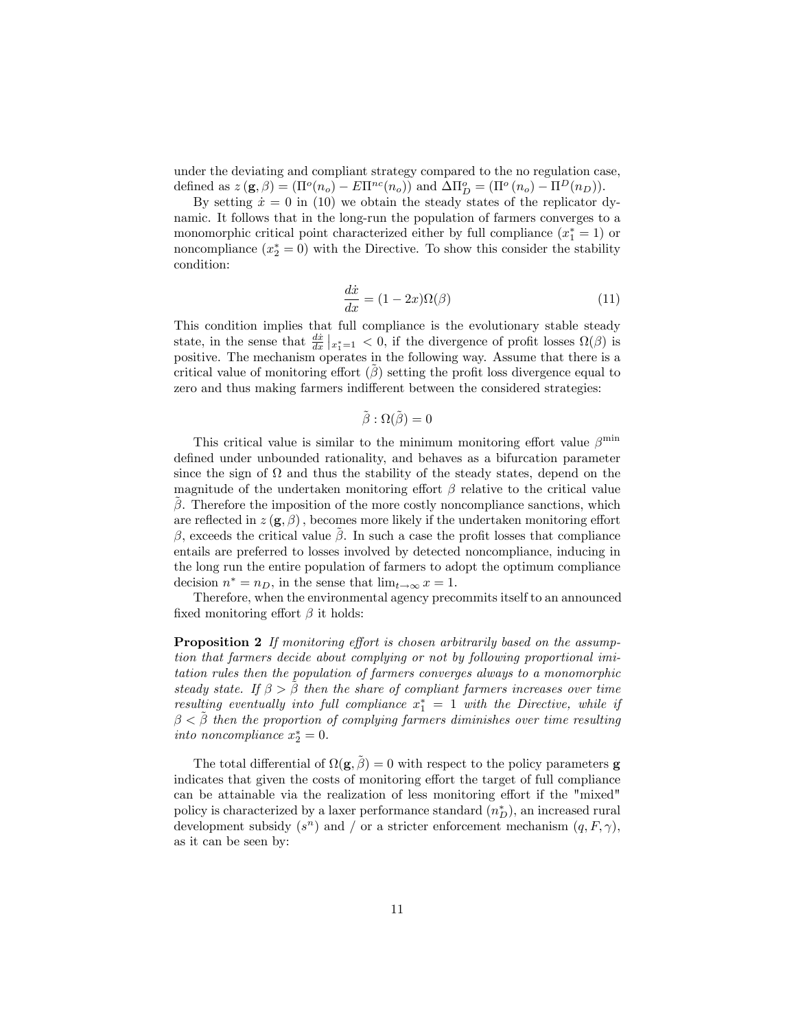under the deviating and compliant strategy compared to the no regulation case, defined as  $z(\mathbf{g}, \beta) = (\Pi^o(n_o) - E\Pi^{nc}(n_o))$  and  $\Delta \Pi^o_D = (\Pi^o(n_o) - \Pi^D(n_D)).$ 

By setting  $\dot{x} = 0$  in (10) we obtain the steady states of the replicator dynamic. It follows that in the long-run the population of farmers converges to a monomorphic critical point characterized either by full compliance  $(x_1^* = 1)$  or noncompliance  $(x_2^* = 0)$  with the Directive. To show this consider the stability condition:

$$
\frac{d\dot{x}}{dx} = (1 - 2x)\Omega(\beta) \tag{11}
$$

This condition implies that full compliance is the evolutionary stable steady state, in the sense that  $\frac{dx}{dx}|_{x_1^*=1} < 0$ , if the divergence of profit losses  $\Omega(\beta)$  is positive. The mechanism operates in the following way. Assume that there is a critical value of monitoring effort  $(\hat{\beta})$  setting the profit loss divergence equal to zero and thus making farmers indifferent between the considered strategies:

$$
\tilde{\beta}:\Omega(\tilde{\beta})=0
$$

This critical value is similar to the minimum monitoring effort value  $\beta^{\min}$ defined under unbounded rationality, and behaves as a bifurcation parameter since the sign of  $\Omega$  and thus the stability of the steady states, depend on the magnitude of the undertaken monitoring effort  $\beta$  relative to the critical value  $\beta$ . Therefore the imposition of the more costly noncompliance sanctions, which are reflected in  $z(\mathbf{g},\beta)$ , becomes more likely if the undertaken monitoring effort  $\beta$ , exceeds the critical value  $\beta$ . In such a case the profit losses that compliance entails are preferred to losses involved by detected noncompliance, inducing in the long run the entire population of farmers to adopt the optimum compliance decision  $n^* = n_D$ , in the sense that  $\lim_{t \to \infty} x = 1$ .

Therefore, when the environmental agency precommits itself to an announced fixed monitoring effort  $\beta$  it holds:

**Proposition 2** If monitoring effort is chosen arbitrarily based on the assumption that farmers decide about complying or not by following proportional imitation rules then the population of farmers converges always to a monomorphic steady state. If  $\beta > \beta$  then the share of compliant farmers increases over time resulting eventually into full compliance  $x_1^* = 1$  with the Directive, while if  $\beta < \beta$  then the proportion of complying farmers diminishes over time resulting into noncompliance  $x_2^* = 0$ .

The total differential of  $\Omega(g, \tilde{\beta}) = 0$  with respect to the policy parameters **g** indicates that given the costs of monitoring effort the target of full compliance can be attainable via the realization of less monitoring effort if the "mixed" policy is characterized by a laxer performance standard  $(n_D^*),$  an increased rural development subsidy  $(s^n)$  and / or a stricter enforcement mechanism  $(q, F, \gamma)$ , as it can be seen by: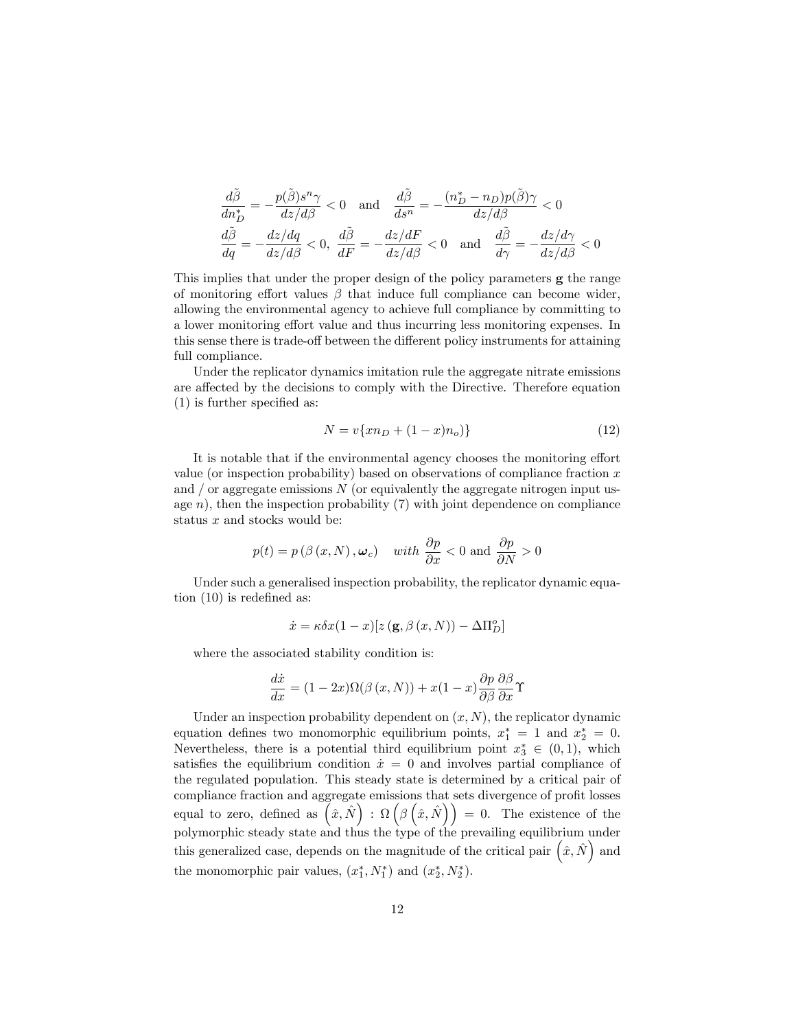$$
\frac{d\tilde{\beta}}{dn_D^*} = -\frac{p(\tilde{\beta})s^n \gamma}{dz/d\beta} < 0 \quad \text{and} \quad \frac{d\tilde{\beta}}{ds^n} = -\frac{(n_D^* - n_D)p(\tilde{\beta})\gamma}{dz/d\beta} < 0
$$

$$
\frac{d\tilde{\beta}}{dq} = -\frac{dz/dq}{dz/d\beta} < 0, \quad \frac{d\tilde{\beta}}{dF} = -\frac{dz/dF}{dz/d\beta} < 0 \quad \text{and} \quad \frac{d\tilde{\beta}}{d\gamma} = -\frac{dz/d\gamma}{dz/d\beta} < 0
$$

This implies that under the proper design of the policy parameters g the range of monitoring effort values  $\beta$  that induce full compliance can become wider, allowing the environmental agency to achieve full compliance by committing to a lower monitoring effort value and thus incurring less monitoring expenses. In this sense there is trade-off between the different policy instruments for attaining full compliance.

Under the replicator dynamics imitation rule the aggregate nitrate emissions are affected by the decisions to comply with the Directive. Therefore equation  $(1)$  is further specified as:

$$
N = v\{xn_D + (1-x)n_o)\}\tag{12}
$$

It is notable that if the environmental agency chooses the monitoring effort value (or inspection probability) based on observations of compliance fraction  $x$ and  $\ell$  or aggregate emissions  $N$  (or equivalently the aggregate nitrogen input usage  $n$ ), then the inspection probability (7) with joint dependence on compliance status  $x$  and stocks would be:

$$
p(t) = p(\beta(x, N), \omega_c)
$$
 with  $\frac{\partial p}{\partial x} < 0$  and  $\frac{\partial p}{\partial N} > 0$ 

Under such a generalised inspection probability, the replicator dynamic equation  $(10)$  is redefined as:

$$
\dot{x} = \kappa \delta x (1 - x) [z (\mathbf{g}, \beta (x, N)) - \Delta \Pi_D^o]
$$

where the associated stability condition is:

$$
\frac{d\dot{x}}{dx} = (1 - 2x)\Omega(\beta(x, N)) + x(1 - x)\frac{\partial p}{\partial \beta}\frac{\partial \beta}{\partial x}\Upsilon
$$

Under an inspection probability dependent on  $(x, N)$ , the replicator dynamic equation defines two monomorphic equilibrium points,  $x_1^* = 1$  and  $x_2^* = 0$ . Nevertheless, there is a potential third equilibrium point  $x_3^* \in (0,1)$ , which satisfies the equilibrium condition  $\dot{x} = 0$  and involves partial compliance of the regulated population. This steady state is determined by a critical pair of compliance fraction and aggregate emissions that sets divergence of profit losses equal to zero, defined as  $(\hat{x}, \hat{N})$ :  $\Omega(\beta(\hat{x}, \hat{N})) = 0$ . The existence of the polymorphic steady state and thus the type of the prevailing equilibrium under this generalized case, depends on the magnitude of the critical pair  $(\hat{x}, \hat{N})$  and the monomorphic pair values,  $(x_1^*, N_1^*)$  and  $(x_2^*, N_2^*)$ .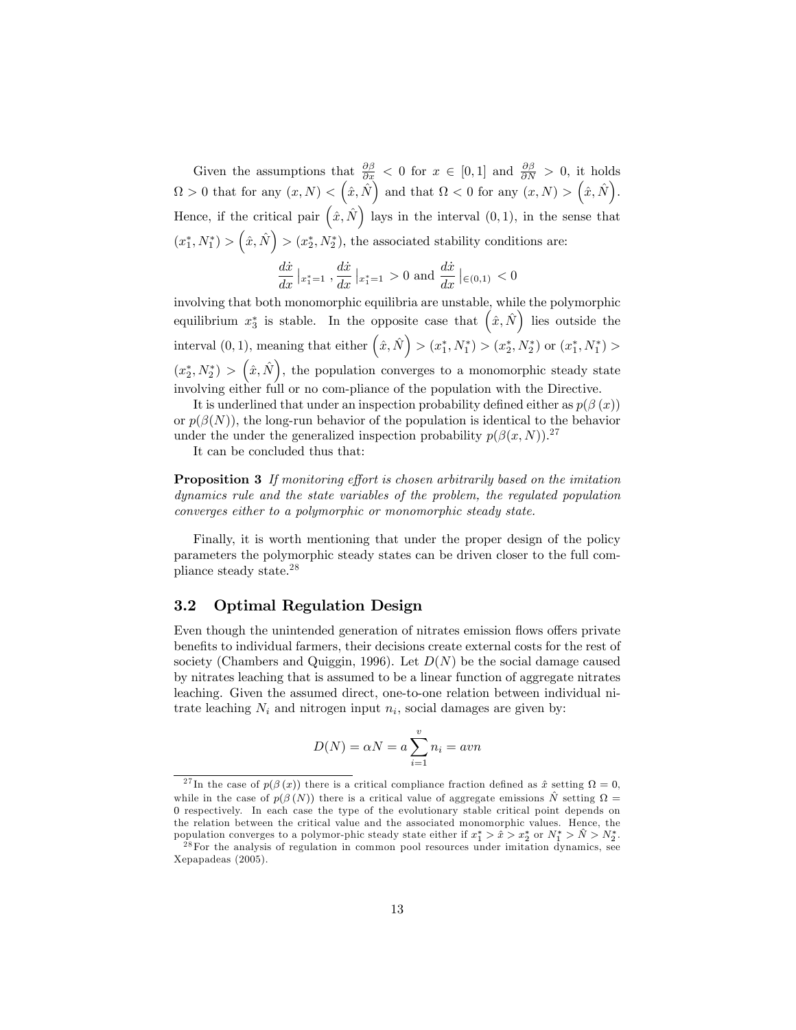Given the assumptions that  $\frac{\partial \beta}{\partial x} < 0$  for  $x \in [0,1]$  and  $\frac{\partial \beta}{\partial N} > 0$ , it holds  $\Omega > 0$  that for any  $(x, N) < (\hat{x}, \hat{N})$  and that  $\Omega < 0$  for any  $(x, N) > (\hat{x}, \hat{N})$ . Hence, if the critical pair  $(\hat{x}, \hat{N})$  lays in the interval  $(0, 1)$ , in the sense that  $(x_1^*, N_1^*) > (\hat{x}, \hat{N}) > (x_2^*, N_2^*)$ , the associated stability conditions are:

$$
\frac{d\dot{x}}{dx} \left|_{x_1^* = 1} \right., \frac{d\dot{x}}{dx} \left|_{x_1^* = 1} \right. > 0 \text{ and } \frac{d\dot{x}}{dx} \left|_{\in (0,1)} \right. < 0
$$

involving that both monomorphic equilibria are unstable, while the polymorphic equilibrium  $x_3^*$  is stable. In the opposite case that  $(\hat{x}, \hat{N})$  lies outside the interval  $(0, 1)$ , meaning that either  $(\hat{x}, \hat{N}) > (x_1^*, N_1^*) > (x_2^*, N_2^*)$  or  $(x_1^*, N_1^*) >$  $(x_2^*, N_2^*)$  >  $(\hat{x}, \hat{N})$ , the population converges to a monomorphic steady state involving either full or no com-pliance of the population with the Directive.

It is underlined that under an inspection probability defined either as  $p(\beta(x))$ or  $p(\beta(N))$ , the long-run behavior of the population is identical to the behavior under the under the generalized inspection probability  $p(\beta(x,N))$ .<sup>27</sup>

It can be concluded thus that:

**Proposition 3** If monitoring effort is chosen arbitrarily based on the imitation dynamics rule and the state variables of the problem, the regulated population converges either to a polymorphic or monomorphic steady state.

Finally, it is worth mentioning that under the proper design of the policy parameters the polymorphic steady states can be driven closer to the full compliance steady state.<sup>28</sup>

### 3.2 Optimal Regulation Design

Even though the unintended generation of nitrates emission flows offers private benefits to individual farmers, their decisions create external costs for the rest of society (Chambers and Quiggin, 1996). Let  $D(N)$  be the social damage caused by nitrates leaching that is assumed to be a linear function of aggregate nitrates leaching. Given the assumed direct, one-to-one relation between individual nitrate leaching  $N_i$  and nitrogen input  $n_i$ , social damages are given by:

$$
D(N) = \alpha N = a \sum_{i=1}^{v} n_i = a v n
$$

<sup>&</sup>lt;sup>27</sup>In the case of  $p(\beta(x))$  there is a critical compliance fraction defined as  $\hat{x}$  setting  $\Omega = 0$ , while in the case of  $p(\beta(N))$  there is a critical value of aggregate emissions  $\hat{N}$  setting  $\Omega =$ 0 respectively. In each case the type of the evolutionary stable critical point depends on the relation between the critical value and the associated monomorphic values. Hence, the population converges to a polymor-phic steady state either if  $x_1^* > \hat{x} > x_2^*$  or  $N_1^* > \hat{N} > N_2^*$ .

<sup>&</sup>lt;sup>28</sup>For the analysis of regulation in common pool resources under imitation dynamics, see Xepapadeas (2005).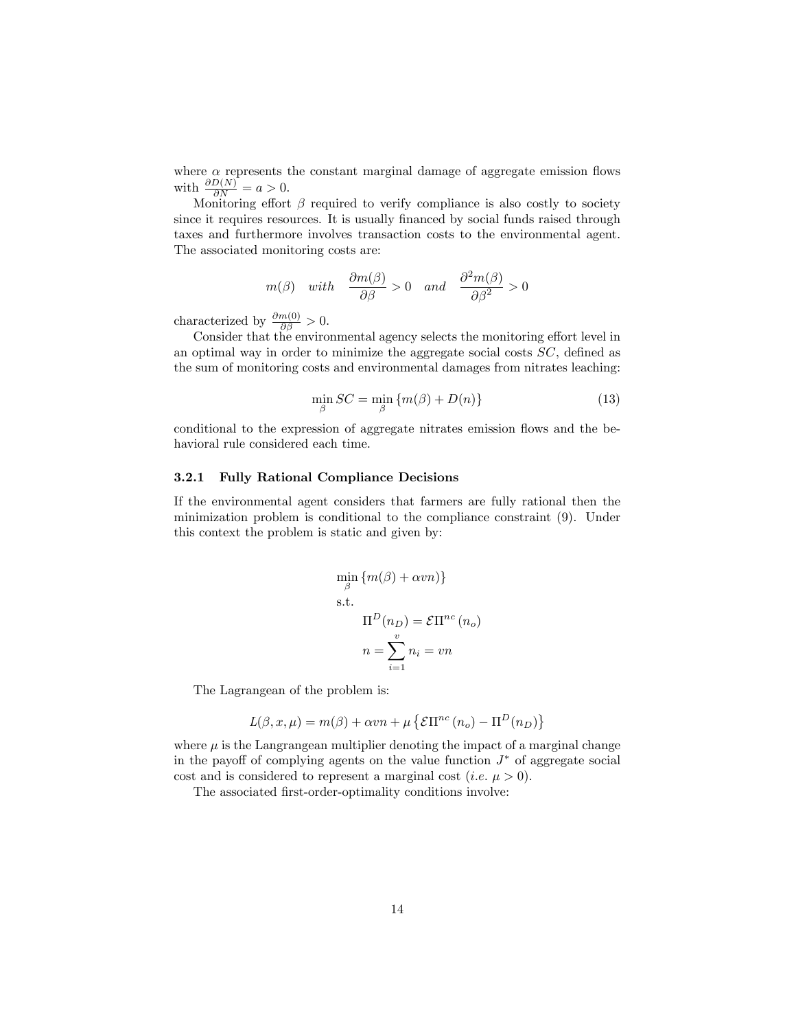where  $\alpha$  represents the constant marginal damage of aggregate emission flows with  $\frac{\partial D(N)}{\partial N} = a > 0$ .

Monitoring effort  $\beta$  required to verify compliance is also costly to society since it requires resources. It is usually financed by social funds raised through taxes and furthermore involves transaction costs to the environmental agent. The associated monitoring costs are:

$$
m(\beta)
$$
 with  $\frac{\partial m(\beta)}{\partial \beta} > 0$  and  $\frac{\partial^2 m(\beta)}{\partial \beta^2} > 0$ 

characterized by  $\frac{\partial m(0)}{\partial \beta} > 0$ .

Consider that the environmental agency selects the monitoring effort level in an optimal way in order to minimize the aggregate social costs  $SC$ , defined as the sum of monitoring costs and environmental damages from nitrates leaching:

$$
\min_{\beta} SC = \min_{\beta} \{ m(\beta) + D(n) \}
$$
\n(13)

conditional to the expression of aggregate nitrates emission flows and the behavioral rule considered each time.

#### 3.2.1 Fully Rational Compliance Decisions

If the environmental agent considers that farmers are fully rational then the minimization problem is conditional to the compliance constraint (9). Under this context the problem is static and given by:

$$
\min_{\beta} \{m(\beta) + \alpha v n\}\
$$
  
s.t.  

$$
\Pi^{D}(n_{D}) = \mathcal{E} \Pi^{nc}(n_{o})
$$

$$
n = \sum_{i=1}^{v} n_{i} = v n
$$

The Lagrangean of the problem is:

$$
L(\beta, x, \mu) = m(\beta) + \alpha v n + \mu \left\{ \mathcal{E} \Pi^{nc} \left( n_o \right) - \Pi^D(n_D) \right\}
$$

where  $\mu$  is the Langrangean multiplier denoting the impact of a marginal change in the payoff of complying agents on the value function  $J^*$  of aggregate social cost and is considered to represent a marginal cost (*i.e.*  $\mu > 0$ ).

The associated first-order-optimality conditions involve: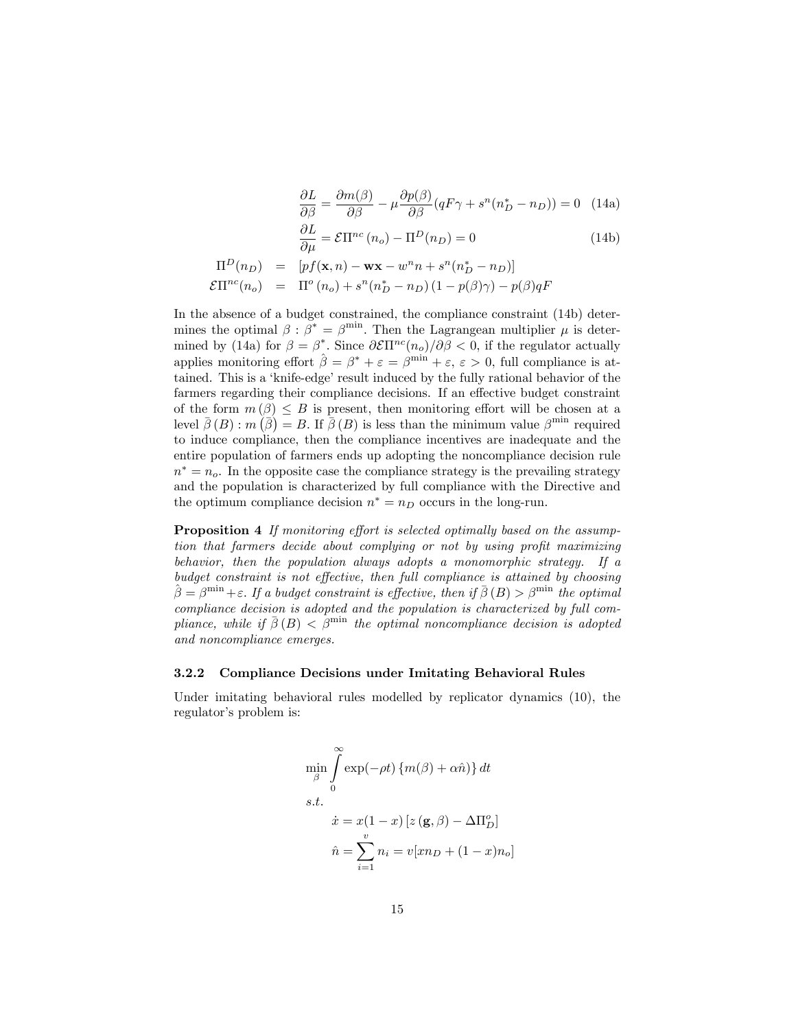$$
\frac{\partial L}{\partial \beta} = \frac{\partial m(\beta)}{\partial \beta} - \mu \frac{\partial p(\beta)}{\partial \beta} (qF\gamma + s^n(n_D^* - n_D)) = 0 \quad (14a)
$$

$$
\frac{\partial L}{\partial \mu} = \mathcal{E} \Pi^{nc} (n_o) - \Pi^D (n_D) = 0 \quad (14b)
$$

$$
\Pi^{D}(n_{D}) = [pf(\mathbf{x}, n) - \mathbf{w}\mathbf{x} - w^{n}n + s^{n}(n_{D}^{*} - n_{D})]
$$
  

$$
\mathcal{E}\Pi^{nc}(n_{o}) = \Pi^{o}(n_{o}) + s^{n}(n_{D}^{*} - n_{D})(1 - p(\beta)\gamma) - p(\beta)qF
$$

In the absence of a budget constrained, the compliance constraint (14b) determines the optimal  $\beta : \beta^* = \beta^{\text{min}}$ . Then the Lagrangean multiplier  $\mu$  is determined by (14a) for  $\beta = \beta^*$ . Since  $\partial \mathcal{E} \Pi^{nc}(n_o)/\partial \beta < 0$ , if the regulator actually applies monitoring effort  $\hat{\beta} = \beta^* + \varepsilon = \beta^{\min} + \varepsilon$ ,  $\varepsilon > 0$ , full compliance is attained. This is a 'knife-edge' result induced by the fully rational behavior of the farmers regarding their compliance decisions. If an effective budget constraint of the form  $m(\beta) \leq B$  is present, then monitoring effort will be chosen at a level  $\bar{\beta}(B)$ :  $m(\bar{\beta}) = B$ . If  $\bar{\beta}(B)$  is less than the minimum value  $\beta^{\min}$  required to induce compliance, then the compliance incentives are inadequate and the entire population of farmers ends up adopting the noncompliance decision rule  $n^* = n_o$ . In the opposite case the compliance strategy is the prevailing strategy and the population is characterized by full compliance with the Directive and the optimum compliance decision  $n^* = n_D$  occurs in the long-run.

**Proposition 4** If monitoring effort is selected optimally based on the assumption that farmers decide about complying or not by using profit maximizing behavior, then the population always adopts a monomorphic strategy. If a budget constraint is not effective, then full compliance is attained by choosing  $\hat{\beta} = \beta^{\min} + \varepsilon$ . If a budget constraint is effective, then if  $\bar{\beta}(B) > \beta^{\min}$  the optimal compliance decision is adopted and the population is characterized by full compliance, while if  $\bar{\beta}(B) < \beta^{\min}$  the optimal noncompliance decision is adopted and noncompliance emerges.

#### 3.2.2 Compliance Decisions under Imitating Behavioral Rules

Under imitating behavioral rules modelled by replicator dynamics (10), the regulator's problem is:

$$
\min_{\beta} \int_{0}^{\infty} \exp(-\rho t) \{m(\beta) + \alpha \hat{n})\} dt
$$
  
s.t.  

$$
\dot{x} = x(1-x) [z(\mathbf{g}, \beta) - \Delta \Pi_D^o]
$$
  

$$
\hat{n} = \sum_{i=1}^{v} n_i = v[xn_D + (1-x)n_o]
$$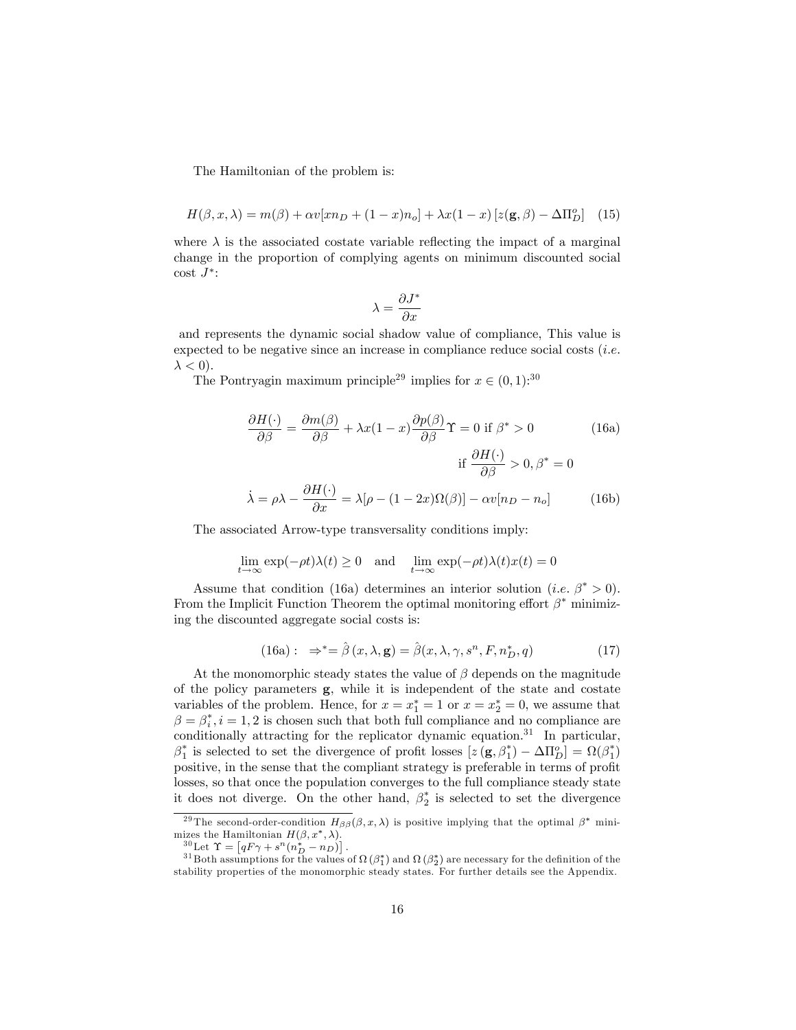The Hamiltonian of the problem is:

$$
H(\beta, x, \lambda) = m(\beta) + \alpha v[xn_D + (1 - x)n_o] + \lambda x(1 - x) [z(\mathbf{g}, \beta) - \Delta \Pi_D^o]
$$
 (15)

where  $\lambda$  is the associated costate variable reflecting the impact of a marginal change in the proportion of complying agents on minimum discounted social  $\cot J^*$ :

$$
\lambda = \frac{\partial J^*}{\partial x}
$$

and represents the dynamic social shadow value of compliance, This value is expected to be negative since an increase in compliance reduce social costs  $(i.e.$  $\lambda < 0$ ).

The Pontryagin maximum principle<sup>29</sup> implies for  $x \in (0,1)$ :<sup>30</sup>

$$
\frac{\partial H(\cdot)}{\partial \beta} = \frac{\partial m(\beta)}{\partial \beta} + \lambda x (1 - x) \frac{\partial p(\beta)}{\partial \beta} \Upsilon = 0 \text{ if } \beta^* > 0 \tag{16a}
$$

$$
\text{if } \frac{\partial H(\cdot)}{\partial \beta} > 0, \beta^* = 0
$$

$$
\dot{\lambda} = \rho \lambda - \frac{\partial H(\cdot)}{\partial x} = \lambda [\rho - (1 - 2x) \Omega(\beta)] - \alpha v [n_D - n_o] \tag{16b}
$$

The associated Arrow-type transversality conditions imply:

$$
\lim_{t \to \infty} \exp(-\rho t)\lambda(t) \ge 0 \quad \text{and} \quad \lim_{t \to \infty} \exp(-\rho t)\lambda(t)x(t) = 0
$$

Assume that condition (16a) determines an interior solution (*i.e.*  $\beta^* > 0$ ). From the Implicit Function Theorem the optimal monitoring effort  $\beta^*$  minimizing the discounted aggregate social costs is:

(16a): 
$$
\Rightarrow^* = \hat{\beta}(x, \lambda, \mathbf{g}) = \hat{\beta}(x, \lambda, \gamma, s^n, F, n_D^*, q)
$$
 (17)

At the monomorphic steady states the value of  $\beta$  depends on the magnitude of the policy parameters  $g$ , while it is independent of the state and costate variables of the problem. Hence, for  $x = x_1^* = 1$  or  $x = x_2^* = 0$ , we assume that  $\beta = \beta_i^*, i = 1, 2$  is chosen such that both full compliance and no compliance are conditionally attracting for the replicator dynamic equation.<sup>31</sup> In particular,  $\beta_1^*$  is selected to set the divergence of profit losses  $[z(\mathbf{g}, \beta_1^*) - \Delta \Pi_D^o] = \Omega(\beta_1^*)$ positive, in the sense that the compliant strategy is preferable in terms of profit losses, so that once the population converges to the full compliance steady state it does not diverge. On the other hand,  $\beta_2^*$  is selected to set the divergence

<sup>&</sup>lt;sup>29</sup> The second-order-condition  $H_{\beta\beta}(\beta, x, \lambda)$  is positive implying that the optimal  $\beta^*$  minimizes the Hamiltonian  $H(\beta, x^*, \lambda)$ .

 ${}^{30}_{21}$  Let  $\Upsilon = [qF\gamma + s^n(n_D^* - n_D)]$ .

 $^{31}$  Both assumptions for the values of  $\Omega$  ( $\beta_1^*$ ) and  $\Omega$  ( $\beta_2^*$ ) are necessary for the definition of the stability properties of the monomorphic steady states. For further details see the Appendix.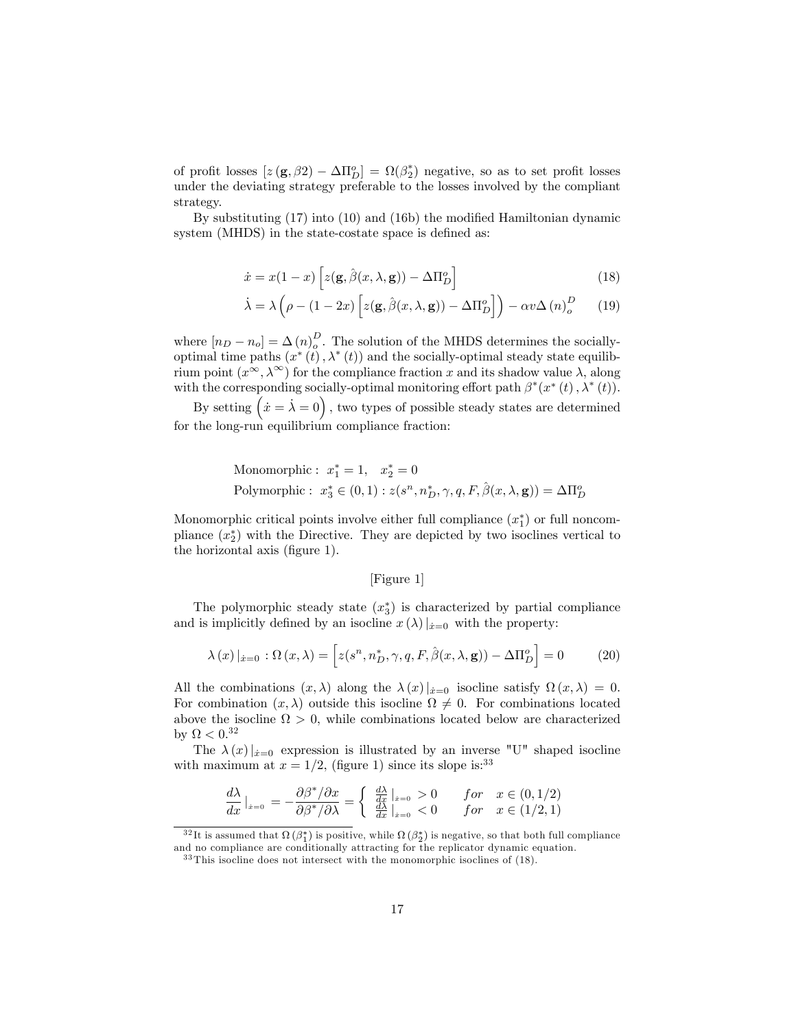of profit losses  $[z(\mathbf{g}, \beta_2) - \Delta \Pi_D^o] = \Omega(\beta_2^*)$  negative, so as to set profit losses under the deviating strategy preferable to the losses involved by the compliant strategy.

By substituting  $(17)$  into  $(10)$  and  $(16b)$  the modified Hamiltonian dynamic system (MHDS) in the state-costate space is defined as:

$$
\dot{x} = x(1-x)\left[z(\mathbf{g}, \hat{\beta}(x, \lambda, \mathbf{g})) - \Delta \Pi_D^o\right]
$$
\n(18)

$$
\dot{\lambda} = \lambda \left( \rho - (1 - 2x) \left[ z(\mathbf{g}, \hat{\beta}(x, \lambda, \mathbf{g})) - \Delta \Pi_D^o \right] \right) - \alpha v \Delta (n)_{o}^D \qquad (19)
$$

where  $[n_D - n_o] = \Delta (n)_{o}^D$ . The solution of the MHDS determines the sociallyoptimal time paths  $(x^*(t), \lambda^*(t))$  and the socially-optimal steady state equilibrium point  $(x^{\infty}, \lambda^{\infty})$  for the compliance fraction x and its shadow value  $\lambda$ , along with the corresponding socially-optimal monitoring effort path  $\beta^*(x^*(t), \lambda^*(t))$ .

By setting  $(x = \lambda = 0)$ , two types of possible steady states are determined for the long-run equilibrium compliance fraction:

Monomorphic: 
$$
x_1^* = 1
$$
,  $x_2^* = 0$   
Polymorphic:  $x_3^* \in (0, 1)$ :  $z(s^n, n_D^*, \gamma, q, F, \hat{\beta}(x, \lambda, \mathbf{g})) = \Delta \Pi_D^o$ 

Monomorphic critical points involve either full compliance  $(x_1^*)$  or full noncompliance  $(x_2^*)$  with the Directive. They are depicted by two isoclines vertical to the horizontal axis (figure 1).

#### [Figure 1]

The polymorphic steady state  $(x_3^*)$  is characterized by partial compliance and is implicitly defined by an isocline  $x(\lambda)|_{\dot{x}=0}$  with the property:

$$
\lambda(x)|_{\dot{x}=0} : \Omega(x,\lambda) = \left[ z(s^n, n_D^*, \gamma, q, F, \hat{\beta}(x,\lambda, \mathbf{g})) - \Delta \Pi_D^o \right] = 0 \tag{20}
$$

All the combinations  $(x, \lambda)$  along the  $\lambda(x)|_{x=0}$  isocline satisfy  $\Omega(x, \lambda) = 0$ . For combination  $(x, \lambda)$  outside this isocline  $\Omega \neq 0$ . For combinations located above the isocline  $\Omega > 0$ , while combinations located below are characterized by  $\Omega < 0.32$ 

The  $\lambda(x)|_{x=0}$  expression is illustrated by an inverse "U" shaped isocline with maximum at  $x = 1/2$ , (figure 1) since its slope is:<sup>33</sup>

$$
\frac{d\lambda}{dx}\Big|_{x=0} = -\frac{\partial \beta^* / \partial x}{\partial \beta^* / \partial \lambda} = \begin{cases} \frac{d\lambda}{dx}\Big|_{x=0} > 0 & \text{for} \quad x \in (0, 1/2) \\ \frac{d\lambda}{dx}\Big|_{x=0} < 0 & \text{for} \quad x \in (1/2, 1) \end{cases}
$$

 $^{32}$ It is assumed that  $\Omega(\beta_1^*)$  is positive, while  $\Omega(\beta_2^*)$  is negative, so that both full compliance and no compliance are conditionally attracting for the replicator dynamic equation.

 $33$  This isocline does not intersect with the monomorphic isoclines of (18).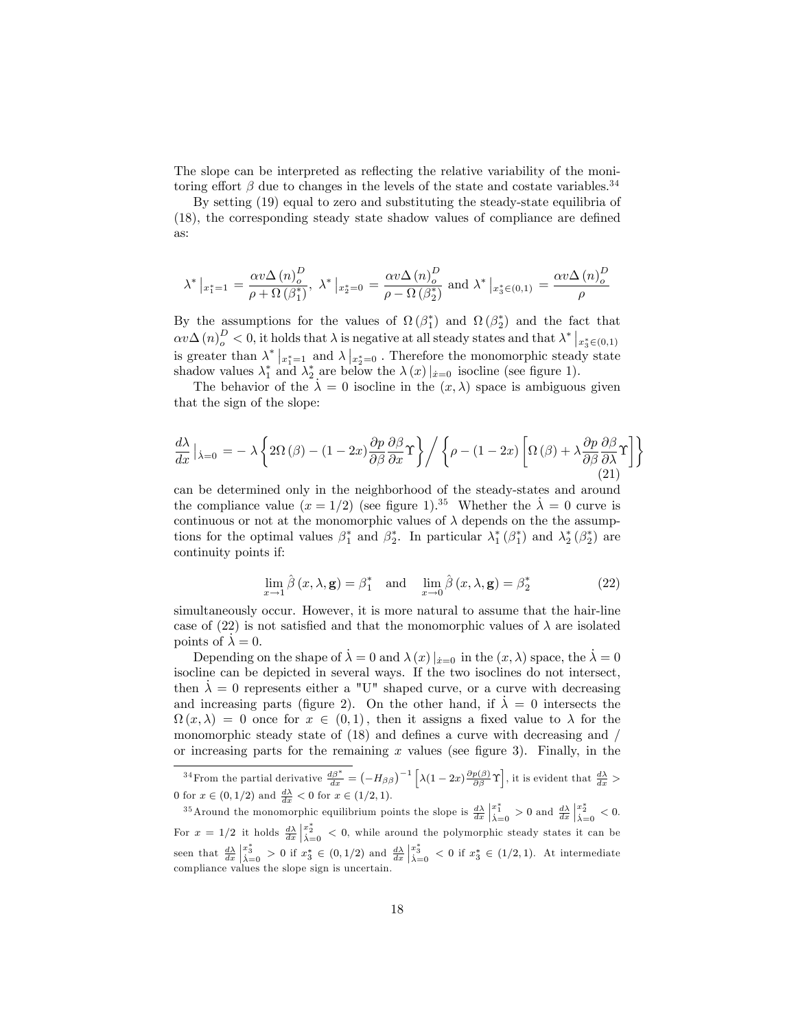The slope can be interpreted as reflecting the relative variability of the monitoring effort  $\beta$  due to changes in the levels of the state and costate variables.<sup>34</sup>

By setting (19) equal to zero and substituting the steady-state equilibria of  $(18)$ , the corresponding steady state shadow values of compliance are defined as:

$$
\lambda^*\left|_{x_1^*=1}\right. = \frac{\alpha v \Delta\left(n\right)_{o}^D}{\rho + \Omega\left(\beta_1^*\right)}, \,\, \lambda^*\left|_{x_2^*=0}\right. = \frac{\alpha v \Delta\left(n\right)_{o}^D}{\rho - \Omega\left(\beta_2^*\right)} \,\, \text{and} \,\, \lambda^*\left|_{x_3^* \in (0,1)}\right. = \frac{\alpha v \Delta\left(n\right)_{o}^D}{\rho}
$$

By the assumptions for the values of  $\Omega(\beta_1^*)$  and  $\Omega(\beta_2^*)$  and the fact that  $\alpha v \Delta(n)_{o}^{D} < 0$ , it holds that  $\lambda$  is negative at all steady states and that  $\lambda^*|_{x_3^* \in (0,1)}$ is greater than  $\lambda^*|_{x_1^*=1}$  and  $\lambda|_{x_2^*=0}$ . Therefore the monomorphic steady state shadow values  $\lambda_1^*$  and  $\lambda_2^*$  are below the  $\lambda(x)|_{x=0}$  isocline (see figure 1).

The behavior of the  $\lambda = 0$  isocline in the  $(x, \lambda)$  space is ambiguous given that the sign of the slope:

$$
\frac{d\lambda}{dx}\Big|_{\lambda=0} = -\lambda \left\{ 2\Omega(\beta) - (1-2x) \frac{\partial p}{\partial \beta} \frac{\partial \beta}{\partial x} \Upsilon \right\} / \left\{ \rho - (1-2x) \left[ \Omega(\beta) + \lambda \frac{\partial p}{\partial \beta} \frac{\partial \beta}{\partial \lambda} \Upsilon \right] \right\}
$$
\n(21)

can be determined only in the neighborhood of the steady-states and around the compliance value  $(x = 1/2)$  (see figure 1).<sup>35</sup> Whether the  $\lambda = 0$  curve is continuous or not at the monomorphic values of  $\lambda$  depends on the the assumptions for the optimal values  $\beta_1^*$  and  $\beta_2^*$ . In particular  $\lambda_1^*(\beta_1^*)$  and  $\lambda_2^*(\beta_2^*)$  are continuity points if:

$$
\lim_{x \to 1} \hat{\beta}(x, \lambda, \mathbf{g}) = \beta_1^* \quad \text{and} \quad \lim_{x \to 0} \hat{\beta}(x, \lambda, \mathbf{g}) = \beta_2^* \tag{22}
$$

simultaneously occur. However, it is more natural to assume that the hair-line case of (22) is not satisfied and that the monomorphic values of  $\lambda$  are isolated points of  $\lambda = 0$ .

Depending on the shape of  $\lambda = 0$  and  $\lambda(x)|_{x=0}$  in the  $(x, \lambda)$  space, the  $\lambda = 0$ isocline can be depicted in several ways. If the two isoclines do not intersect, then  $\lambda = 0$  represents either a "U" shaped curve, or a curve with decreasing and increasing parts (figure 2). On the other hand, if  $\lambda = 0$  intersects the  $\Omega(x, \lambda) = 0$  once for  $x \in (0, 1)$ , then it assigns a fixed value to  $\lambda$  for the monomorphic steady state of  $(18)$  and defines a curve with decreasing and / or increasing parts for the remaining  $x$  values (see figure 3). Finally, in the

<sup>34</sup> From the partial derivative  $\frac{d\beta^*}{dx} = \left(-H_{\beta\beta}\right)^{-1} \left[\lambda(1-2x)\frac{\partial p(\beta)}{\partial \beta}\Upsilon\right]$ , it is evident that  $\frac{d\lambda}{dx}$ 0 for  $x \in (0, 1/2)$  and  $\frac{d\lambda}{dx} < 0$  for  $x \in (1/2, 1)$ .

<sup>35</sup>Around the monomorphic equilibrium points the slope is  $\frac{d\lambda}{dx}$  $\frac{x_1^*}{\lambda=0} > 0$  and  $\frac{d\lambda}{dx}$  $\frac{x_2^*}{\dot{\lambda}=0} < 0.$ For  $x = 1/2$  it holds  $\frac{d\lambda}{dx}$  $x_2^*$   $\geq 0$ , while around the polymorphic steady states it can be seen that  $\frac{d\lambda}{dx}$  $\frac{x_3^*}{\lambda = 0}$  > 0 if  $x_3^* \in (0, 1/2)$  and  $\frac{d\lambda}{dx}$  $x_3^*$   $\geq 0$  if  $x_3^* \in (1/2, 1)$ . At intermediate compliance values the slope sign is uncertain.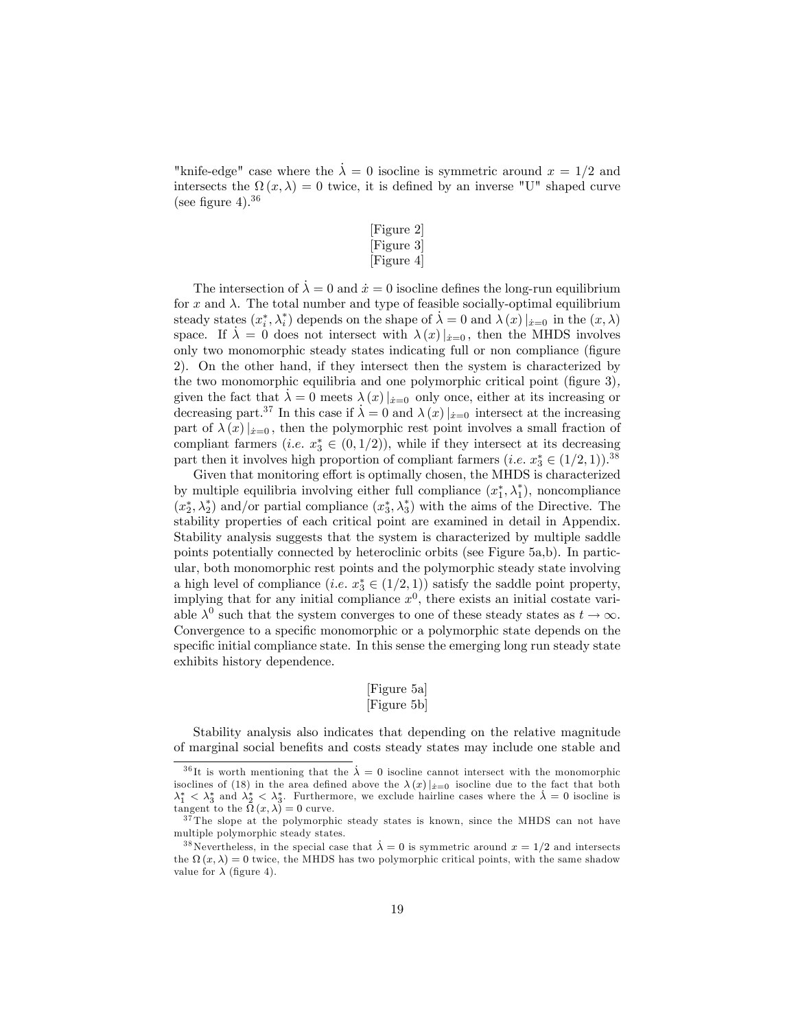"knife-edge" case where the  $\lambda = 0$  isocline is symmetric around  $x = 1/2$  and intersects the  $\Omega(x,\lambda) = 0$  twice, it is defined by an inverse "U" shaped curve (see figure 4).<sup>36</sup>

#### [Figure 2] [Figure 3] [Figure 4]

The intersection of  $\lambda = 0$  and  $\dot{x} = 0$  isocline defines the long-run equilibrium for x and  $\lambda$ . The total number and type of feasible socially-optimal equilibrium steady states  $(x_i^*, \lambda_i^*)$  depends on the shape of  $\lambda = 0$  and  $\lambda(x)|_{x=0}$  in the  $(x, \lambda)$ space. If  $\lambda = 0$  does not intersect with  $\lambda(x)|_{x=0}$ , then the MHDS involves only two monomorphic steady states indicating full or non compliance (figure 2). On the other hand, if they intersect then the system is characterized by the two monomorphic equilibria and one polymorphic critical point (figure 3), given the fact that  $\lambda = 0$  meets  $\lambda(x)|_{x=0}$  only once, either at its increasing or decreasing part.<sup>37</sup> In this case if  $\lambda = 0$  and  $\lambda(x)|_{x=0}$  intersect at the increasing part of  $\lambda(x)|_{x=0}$ , then the polymorphic rest point involves a small fraction of compliant farmers (*i.e.*  $x_3^* \in (0, 1/2)$ ), while if they intersect at its decreasing part then it involves high proportion of compliant farmers  $(i.e. x_3^* \in (1/2, 1))$ .<sup>38</sup>

Given that monitoring effort is optimally chosen, the MHDS is characterized by multiple equilibria involving either full compliance  $(x_1^*, \lambda_1^*)$ , noncompliance  $(x_2^*, \lambda_2^*)$  and/or partial compliance  $(x_3^*, \lambda_3^*)$  with the aims of the Directive. The stability properties of each critical point are examined in detail in Appendix. Stability analysis suggests that the system is characterized by multiple saddle points potentially connected by heteroclinic orbits (see Figure 5a,b). In particular, both monomorphic rest points and the polymorphic steady state involving a high level of compliance  $(i.e. x_3^* \in (1/2, 1))$  satisfy the saddle point property, implying that for any initial compliance  $x<sup>0</sup>$ , there exists an initial costate variable  $\lambda^0$  such that the system converges to one of these steady states as  $t \to \infty$ . Convergence to a specific monomorphic or a polymorphic state depends on the specific initial compliance state. In this sense the emerging long run steady state exhibits history dependence.

#### [Figure 5a] [Figure 5b]

Stability analysis also indicates that depending on the relative magnitude of marginal social benefits and costs steady states may include one stable and

<sup>&</sup>lt;sup>36</sup>It is worth mentioning that the  $\lambda = 0$  isocline cannot intersect with the monomorphic isoclines of (18) in the area defined above the  $\lambda(x)|_{x=0}$  isocline due to the fact that both  $\lambda_1^* < \lambda_3^*$  and  $\lambda_2^* < \lambda_3^*$ . Furthermore, we exclude hairline cases where the  $\lambda = 0$  isocline is tangent to the  $\Omega(x,\lambda) = 0$  curve.

<sup>&</sup>lt;sup>37</sup>The slope at the polymorphic steady states is known, since the MHDS can not have multiple polymorphic steady states.

<sup>&</sup>lt;sup>38</sup> Nevertheless, in the special case that  $\lambda = 0$  is symmetric around  $x = 1/2$  and intersects the  $\Omega(x,\lambda) = 0$  twice, the MHDS has two polymorphic critical points, with the same shadow value for  $\lambda$  (figure 4).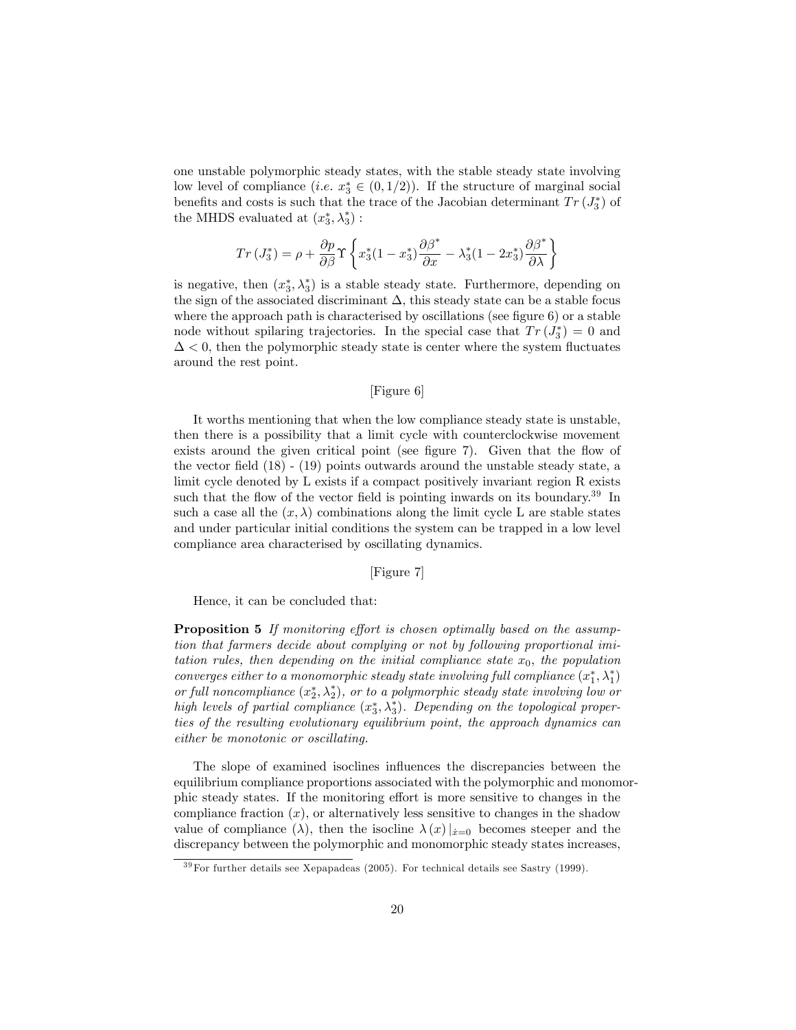one unstable polymorphic steady states, with the stable steady state involving low level of compliance  $(i.e. x_3^* \in (0, 1/2))$ . If the structure of marginal social benefits and costs is such that the trace of the Jacobian determinant  $Tr(J_3^*)$  of the MHDS evaluated at  $(x_3^*, \lambda_3^*)$ :

$$
Tr(J_3^*) = \rho + \frac{\partial p}{\partial \beta} \Upsilon \left\{ x_3^*(1 - x_3^*) \frac{\partial \beta^*}{\partial x} - \lambda_3^*(1 - 2x_3^*) \frac{\partial \beta^*}{\partial \lambda} \right\}
$$

is negative, then  $(x_3^*, \lambda_3^*)$  is a stable steady state. Furthermore, depending on the sign of the associated discriminant  $\Delta$ , this steady state can be a stable focus where the approach path is characterised by oscillations (see figure  $6$ ) or a stable node without spilaring trajectories. In the special case that  $Tr(J_3^*)=0$  and  $\Delta$  < 0, then the polymorphic steady state is center where the system fluctuates around the rest point.

#### [Figure 6]

It worths mentioning that when the low compliance steady state is unstable, then there is a possibility that a limit cycle with counterclockwise movement exists around the given critical point (see figure 7). Given that the flow of the vector field  $(18)$  -  $(19)$  points outwards around the unstable steady state, a limit cycle denoted by L exists if a compact positively invariant region R exists such that the flow of the vector field is pointing inwards on its boundary.<sup>39</sup> In such a case all the  $(x, \lambda)$  combinations along the limit cycle L are stable states and under particular initial conditions the system can be trapped in a low level compliance area characterised by oscillating dynamics.

#### [Figure 7]

Hence, it can be concluded that:

**Proposition 5** If monitoring effort is chosen optimally based on the assumption that farmers decide about complying or not by following proportional imitation rules, then depending on the initial compliance state  $x_0$ , the population converges either to a monomorphic steady state involving full compliance  $(x_1^*, \lambda_1^*)$ or full noncompliance  $(x_2^*, \lambda_2^*)$ , or to a polymorphic steady state involving low or high levels of partial compliance  $(x_3^*, \lambda_3^*)$ . Depending on the topological properties of the resulting evolutionary equilibrium point, the approach dynamics can either be monotonic or oscillating.

The slope of examined isoclines influences the discrepancies between the equilibrium compliance proportions associated with the polymorphic and monomorphic steady states. If the monitoring effort is more sensitive to changes in the compliance fraction  $(x)$ , or alternatively less sensitive to changes in the shadow value of compliance ( $\lambda$ ), then the isocline  $\lambda(x)|_{x=0}$  becomes steeper and the discrepancy between the polymorphic and monomorphic steady states increases,

 $39\,\text{For further details see Xepapadeas (2005).}$  For technical details see Sastry (1999).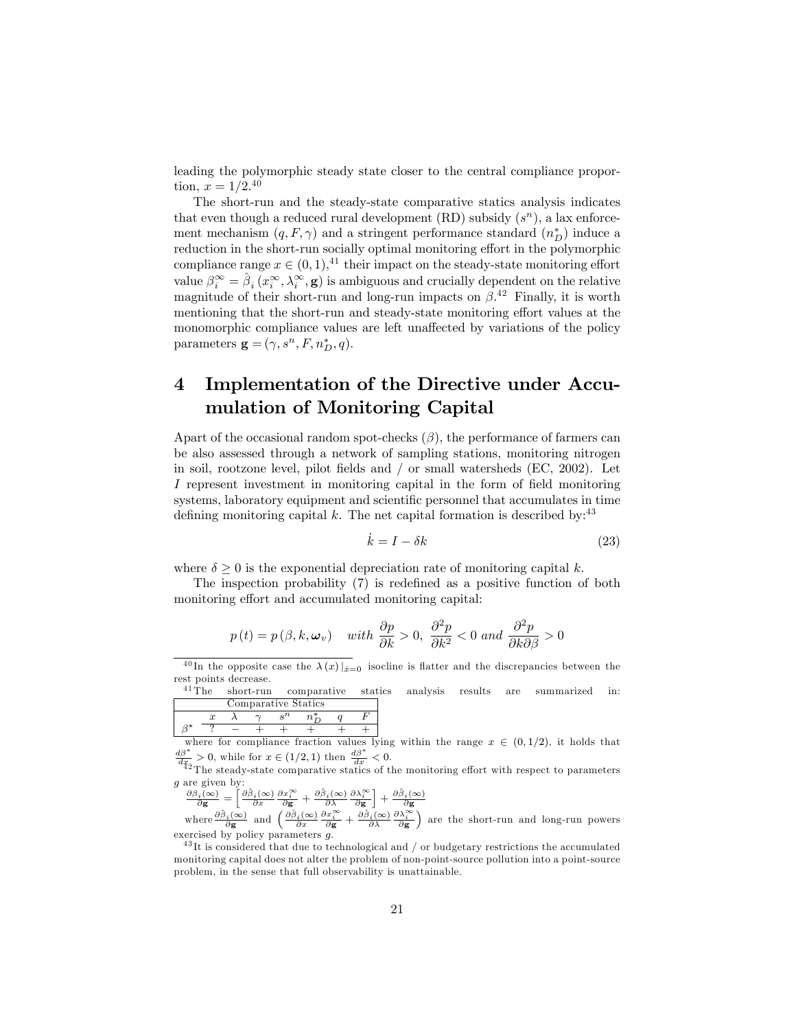leading the polymorphic steady state closer to the central compliance proportion,  $x = 1/2^{40}$ 

The short-run and the steady-state comparative statics analysis indicates that even though a reduced rural development (RD) subsidy  $(s^n)$ , a lax enforcement mechanism  $(q, F, \gamma)$  and a stringent performance standard  $(n_D^*)$  induce a reduction in the short-run socially optimal monitoring effort in the polymorphic compliance range  $x \in (0, 1),$ <sup>41</sup> their impact on the steady-state monitoring effort value  $\beta_i^{\infty} = \hat{\beta}_i (x_i^{\infty}, \lambda_i^{\infty}, \mathbf{g})$  is ambiguous and crucially dependent on the relative magnitude of their short-run and long-run impacts on  $\beta$ <sup>42</sup> Finally, it is worth mentioning that the short-run and steady-state monitoring effort values at the monomorphic compliance values are left unaffected by variations of the policy parameters  $\mathbf{g} = (\gamma, s^n, F, n_D^*, q).$ 

## 4 Implementation of the Directive under Accumulation of Monitoring Capital

Apart of the occasional random spot-checks  $(\beta)$ , the performance of farmers can be also assessed through a network of sampling stations, monitoring nitrogen in soil, rootzone level, pilot fields and  $/$  or small watersheds (EC, 2002). Let I represent investment in monitoring capital in the form of field monitoring systems, laboratory equipment and scientific personnel that accumulates in time defining monitoring capital k. The net capital formation is described by:  $43$ 

$$
\dot{k} = I - \delta k \tag{23}
$$

where  $\delta > 0$  is the exponential depreciation rate of monitoring capital k.

The inspection probability  $(7)$  is redefined as a positive function of both monitoring effort and accumulated monitoring capital:

$$
p(t) = p(\beta, k, \omega_v)
$$
 with  $\frac{\partial p}{\partial k} > 0$ ,  $\frac{\partial^2 p}{\partial k^2} < 0$  and  $\frac{\partial^2 p}{\partial k \partial \beta} > 0$ 

comparative statics analysis results are summarized in: Comparative Statics

| where for compliance fraction values by |  |  |  |  |  |  |
|-----------------------------------------|--|--|--|--|--|--|

where for compliance fraction values lying within the range  $x \in (0,1/2)$ , it holds that  $\frac{d\beta^*}{dx} > 0$ , while for  $x \in (1/2,1)$  then  $\frac{d\beta^*}{dx} < 0$ .<br> $\frac{d\beta^*}{dx}$  The steady-state comparative statics of the monitoring

 $\frac{\partial \beta_i(\infty)}{\partial \mathbf{g}} = \left[ \frac{\partial \hat{\beta}_i(\infty)}{\partial x} \frac{\partial x_i^{\infty}}{\partial \mathbf{g}} + \frac{\partial \hat{\beta}_i(\infty)}{\partial \mathbf{x}} \frac{\partial \lambda_i^{\infty}}{\partial \mathbf{g}} \right] + \frac{\partial \hat{\beta}_i(\infty)}{\partial \mathbf{g}}$ <br>where  $\frac{\partial \hat{\beta}_i(\infty)}{\partial \mathbf{g}}$  and  $\left( \frac{\partial \hat{\beta}_i(\infty)}{\partial x} \frac{\partial x_i^{\infty}}{\partial \mathbf{g}} + \frac{\partial \hat{\beta}_i(\infty$ exercised by policy parameters  $g$ .

 $^{43}$ It is considered that due to technological and / or budgetary restrictions the accumulated monitoring capital does not alter the problem of non-point-source pollution into a point-source problem, in the sense that full observability is unattainable.

<sup>&</sup>lt;sup>40</sup>In the opposite case the  $\lambda(x)|_{x=0}$  isocline is flatter and the discrepancies between the rest points decrease.<br><sup>41</sup>The short-run

g are given by: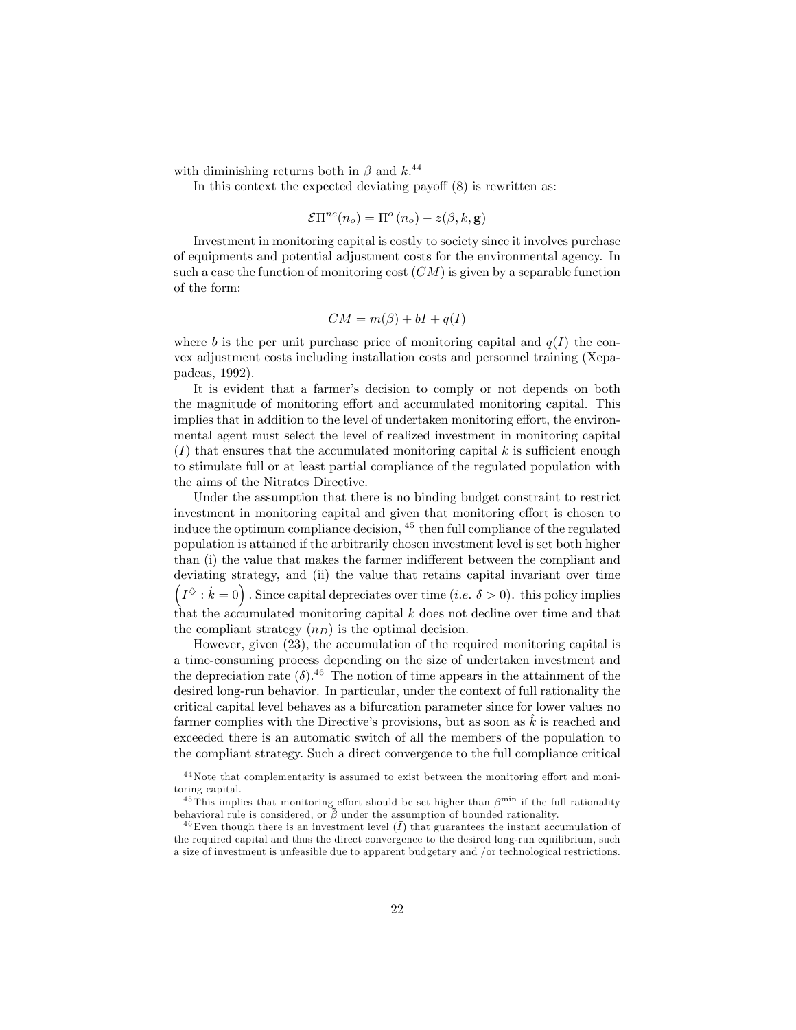with diminishing returns both in  $\beta$  and  $k$ <sup>44</sup>

In this context the expected deviating payoff  $(8)$  is rewritten as:

$$
\mathcal{E}\Pi^{nc}(n_o) = \Pi^o(n_o) - z(\beta, k, \mathbf{g})
$$

Investment in monitoring capital is costly to society since it involves purchase of equipments and potential adjustment costs for the environmental agency. In such a case the function of monitoring cost  $(CM)$  is given by a separable function of the form:

$$
CM = m(\beta) + bI + q(I)
$$

where b is the per unit purchase price of monitoring capital and  $q(I)$  the convex adjustment costs including installation costs and personnel training (Xepapadeas, 1992).

It is evident that a farmer's decision to comply or not depends on both the magnitude of monitoring effort and accumulated monitoring capital. This implies that in addition to the level of undertaken monitoring effort, the environmental agent must select the level of realized investment in monitoring capital  $(I)$  that ensures that the accumulated monitoring capital k is sufficient enough to stimulate full or at least partial compliance of the regulated population with the aims of the Nitrates Directive.

Under the assumption that there is no binding budget constraint to restrict investment in monitoring capital and given that monitoring effort is chosen to induce the optimum compliance decision, <sup>45</sup> then full compliance of the regulated population is attained if the arbitrarily chosen investment level is set both higher than (i) the value that makes the farmer indifferent between the compliant and deviating strategy, and (ii) the value that retains capital invariant over time  $(I^{\diamondsuit}: k = 0)$ . Since capital depreciates over time  $(i.e. \delta > 0)$ . this policy implies that the accumulated monitoring capital  $k$  does not decline over time and that the compliant strategy  $(n_D)$  is the optimal decision.

However, given (23), the accumulation of the required monitoring capital is a time-consuming process depending on the size of undertaken investment and the depreciation rate  $(\delta)$ .<sup>46</sup> The notion of time appears in the attainment of the desired long-run behavior. In particular, under the context of full rationality the critical capital level behaves as a bifurcation parameter since for lower values no farmer complies with the Directive's provisions, but as soon as  $\hat{k}$  is reached and exceeded there is an automatic switch of all the members of the population to the compliant strategy. Such a direct convergence to the full compliance critical

 $44$ Note that complementarity is assumed to exist between the monitoring effort and monitoring capital.

<sup>&</sup>lt;sup>45</sup>This implies that monitoring effort should be set higher than  $\beta^{\min}$  if the full rationality behavioral rule is considered, or  $\tilde{\beta}$  under the assumption of bounded rationality.

<sup>&</sup>lt;sup>46</sup>Even though there is an investment level  $(\bar{I})$  that guarantees the instant accumulation of the required capital and thus the direct convergence to the desired long-run equilibrium, such a size of investment is unfeasible due to apparent budgetary and /or technological restrictions.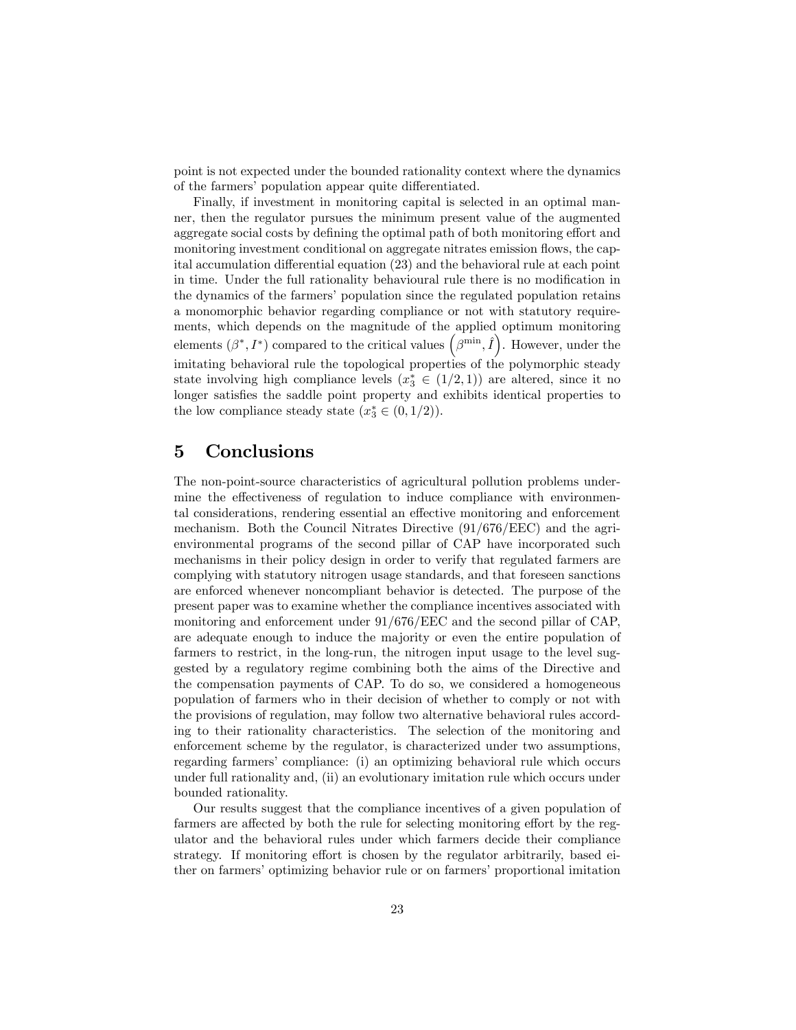point is not expected under the bounded rationality context where the dynamics of the farmers' population appear quite differentiated.

Finally, if investment in monitoring capital is selected in an optimal manner, then the regulator pursues the minimum present value of the augmented aggregate social costs by defining the optimal path of both monitoring effort and monitoring investment conditional on aggregate nitrates emission flows, the capital accumulation differential equation  $(23)$  and the behavioral rule at each point in time. Under the full rationality behavioural rule there is no modification in the dynamics of the farmers' population since the regulated population retains a monomorphic behavior regarding compliance or not with statutory requirements, which depends on the magnitude of the applied optimum monitoring elements  $(\beta^*, I^*)$  compared to the critical values  $(\beta^{\min}, \hat{I})$ . However, under the imitating behavioral rule the topological properties of the polymorphic steady state involving high compliance levels  $(x_3^* \in (1/2, 1))$  are altered, since it no longer satisfies the saddle point property and exhibits identical properties to the low compliance steady state  $(x_3^* \in (0, 1/2)).$ 

## 5 Conclusions

The non-point-source characteristics of agricultural pollution problems undermine the effectiveness of regulation to induce compliance with environmental considerations, rendering essential an effective monitoring and enforcement mechanism. Both the Council Nitrates Directive (91/676/EEC) and the agrienvironmental programs of the second pillar of CAP have incorporated such mechanisms in their policy design in order to verify that regulated farmers are complying with statutory nitrogen usage standards, and that foreseen sanctions are enforced whenever noncompliant behavior is detected. The purpose of the present paper was to examine whether the compliance incentives associated with monitoring and enforcement under 91/676/EEC and the second pillar of CAP, are adequate enough to induce the majority or even the entire population of farmers to restrict, in the long-run, the nitrogen input usage to the level suggested by a regulatory regime combining both the aims of the Directive and the compensation payments of CAP. To do so, we considered a homogeneous population of farmers who in their decision of whether to comply or not with the provisions of regulation, may follow two alternative behavioral rules according to their rationality characteristics. The selection of the monitoring and enforcement scheme by the regulator, is characterized under two assumptions, regarding farmers' compliance: (i) an optimizing behavioral rule which occurs under full rationality and, (ii) an evolutionary imitation rule which occurs under bounded rationality.

Our results suggest that the compliance incentives of a given population of farmers are affected by both the rule for selecting monitoring effort by the regulator and the behavioral rules under which farmers decide their compliance strategy. If monitoring effort is chosen by the regulator arbitrarily, based either on farmers' optimizing behavior rule or on farmers' proportional imitation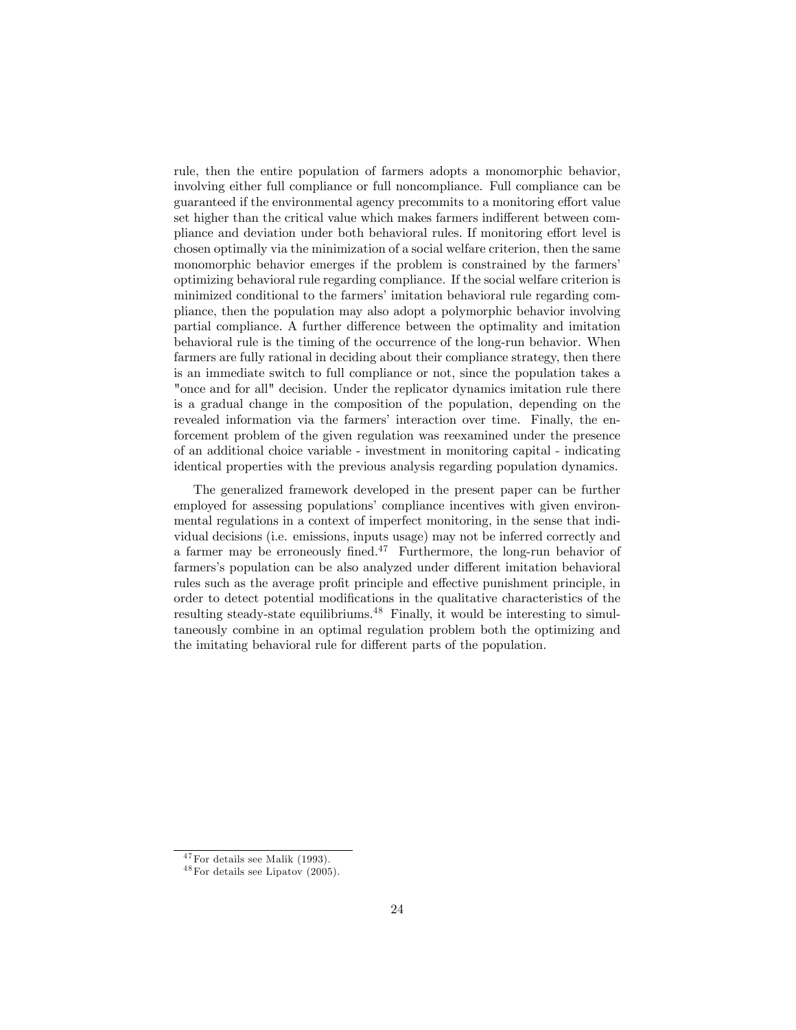rule, then the entire population of farmers adopts a monomorphic behavior, involving either full compliance or full noncompliance. Full compliance can be guaranteed if the environmental agency precommits to a monitoring effort value set higher than the critical value which makes farmers indifferent between compliance and deviation under both behavioral rules. If monitoring effort level is chosen optimally via the minimization of a social welfare criterion, then the same monomorphic behavior emerges if the problem is constrained by the farmers' optimizing behavioral rule regarding compliance. If the social welfare criterion is minimized conditional to the farmers' imitation behavioral rule regarding compliance, then the population may also adopt a polymorphic behavior involving partial compliance. A further difference between the optimality and imitation behavioral rule is the timing of the occurrence of the long-run behavior. When farmers are fully rational in deciding about their compliance strategy, then there is an immediate switch to full compliance or not, since the population takes a "once and for all" decision. Under the replicator dynamics imitation rule there is a gradual change in the composition of the population, depending on the revealed information via the farmers' interaction over time. Finally, the enforcement problem of the given regulation was reexamined under the presence of an additional choice variable - investment in monitoring capital - indicating identical properties with the previous analysis regarding population dynamics.

The generalized framework developed in the present paper can be further employed for assessing populations' compliance incentives with given environmental regulations in a context of imperfect monitoring, in the sense that individual decisions (i.e. emissions, inputs usage) may not be inferred correctly and a farmer may be erroneously fined.<sup>47</sup> Furthermore, the long-run behavior of farmers's population can be also analyzed under different imitation behavioral rules such as the average profit principle and effective punishment principle, in order to detect potential modifications in the qualitative characteristics of the resulting steady-state equilibriums.<sup>48</sup> Finally, it would be interesting to simultaneously combine in an optimal regulation problem both the optimizing and the imitating behavioral rule for different parts of the population.

 $47$  For details see Malik (1993).

 $48$  For details see Lipatov (2005).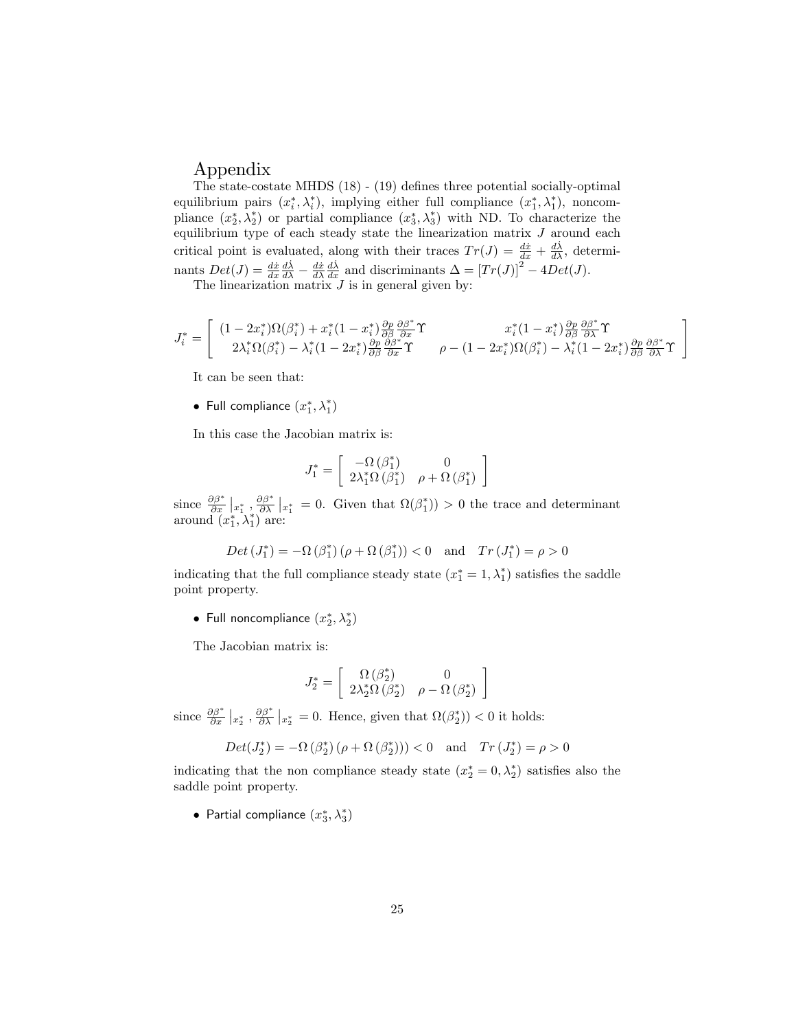### Appendix

The state-costate MHDS  $(18)$  -  $(19)$  defines three potential socially-optimal equilibrium pairs  $(x_i^*, \lambda_i^*)$ , implying either full compliance  $(x_1^*, \lambda_1^*)$ , noncompliance  $(x_2^*, \lambda_2^*)$  or partial compliance  $(x_3^*, \lambda_3^*)$  with ND. To characterize the equilibrium type of each steady state the linearization matrix  $J$  around each critical point is evaluated, along with their traces  $Tr(J) = \frac{d\dot{x}}{dx} + \frac{d\dot{\lambda}}{dx}$ , determinants  $Det(J) = \frac{dx}{dx}\frac{d\lambda}{d\lambda} - \frac{dx}{d\lambda}\frac{d\lambda}{dx}$  and discriminants  $\Delta = [Tr(J)]^2 - 4Det(J)$ .

The linearization matrix  $J$  is in general given by:

$$
J_i^* = \begin{bmatrix} (1 - 2x_i^*)\Omega(\beta_i^*) + x_i^* (1 - x_i^*) \frac{\partial p}{\partial \beta} \frac{\partial \beta^*}{\partial x} \Upsilon & x_i^* (1 - x_i^*) \frac{\partial p}{\partial \beta} \frac{\partial \beta^*}{\partial x} \Upsilon \\ 2\lambda_i^* \Omega(\beta_i^*) - \lambda_i^* (1 - 2x_i^*) \frac{\partial p}{\partial \beta} \frac{\partial \beta^*}{\partial x} \Upsilon & \rho - (1 - 2x_i^*)\Omega(\beta_i^*) - \lambda_i^* (1 - 2x_i^*) \frac{\partial p}{\partial \beta} \frac{\partial \beta^*}{\partial x} \Upsilon \end{bmatrix}
$$

It can be seen that:

• Full compliance  $(x_1^*, \lambda_1^*)$ 

In this case the Jacobian matrix is:

$$
J_1^* = \left[\begin{array}{cc}-\Omega\left(\boldsymbol{\beta}_1^*\right) & 0 \\ 2\lambda_1^*\Omega\left(\boldsymbol{\beta}_1^*\right) & \rho+\Omega\left(\boldsymbol{\beta}_1^*\right) \end{array}\right]
$$

since  $\frac{\partial \beta^*}{\partial x} \big|_{x_1^*}$ ,  $\frac{\partial \beta^*}{\partial \lambda} \big|_{x_1^*} = 0$ . Given that  $\Omega(\beta_1^*)$  > 0 the trace and determinant around  $(x_1^*, \lambda_1^*)$  are:

$$
Det\left(J_{1}^{*}\right)=-\Omega\left(\beta_{1}^{*}\right)\left(\rho+\Omega\left(\beta_{1}^{*}\right)\right)<0 \text{ and } Tr\left(J_{1}^{*}\right)=\rho>0
$$

indicating that the full compliance steady state  $(x_1^* = 1, \lambda_1^*)$  satisfies the saddle point property.

• Full noncompliance  $(x_2^*, \lambda_2^*)$ 

The Jacobian matrix is:

$$
J_2^* = \left[\begin{array}{cc} \Omega\left(\beta_2^*\right) & 0\\ 2\lambda_2^*\Omega\left(\beta_2^*\right) & \rho - \Omega\left(\beta_2^*\right) \end{array}\right]
$$

since  $\frac{\partial \beta^*}{\partial x} \big|_{x_2^*}$ ,  $\frac{\partial \beta^*}{\partial \lambda} \big|_{x_2^*} = 0$ . Hence, given that  $\Omega(\beta_2^*)$   $< 0$  it holds:

$$
Det(J_2^*)=-\Omega\left(\beta_2^*\right)\left(\rho+\Omega\left(\beta_2^*\right)\right)\right)<0\quad \text{and}\quad Tr\left(J_2^*\right)=\rho>0
$$

indicating that the non compliance steady state  $(x_2^* = 0, \lambda_2^*)$  satisfies also the saddle point property.

• Partial compliance  $(x_3^*, \lambda_3^*)$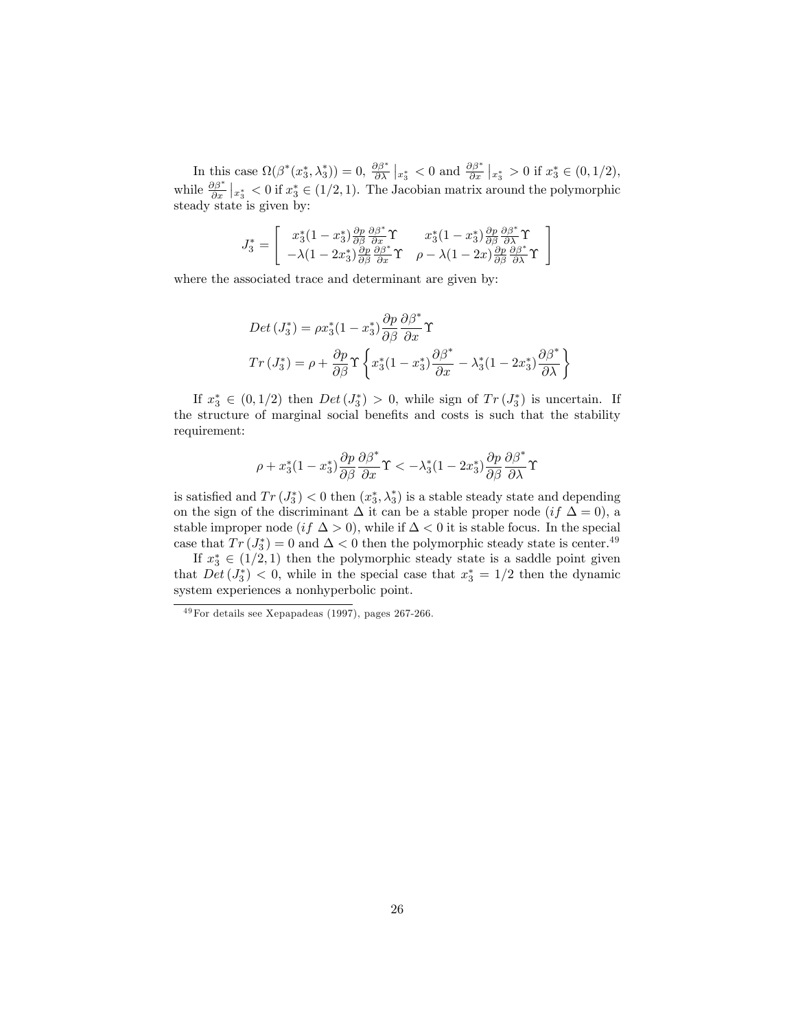In this case  $\Omega(\beta^*(x_3^*, \lambda_3^*))=0$ ,  $\frac{\partial \beta^*}{\partial \lambda}|_{x_3^*}<0$  and  $\frac{\partial \beta^*}{\partial x}|_{x_3^*}>0$  if  $x_3^*\in(0,1/2)$ , while  $\frac{\partial \beta^*}{\partial x} \big|_{x_3^*} < 0$  if  $x_3^* \in (1/2, 1)$ . The Jacobian matrix around the polymorphic steady state is given by:

$$
J_3^* = \begin{bmatrix} x_3^* (1 - x_3^*) \frac{\partial p}{\partial \beta} \frac{\partial \beta^*}{\partial x} \Upsilon & x_3^* (1 - x_3^*) \frac{\partial p}{\partial \beta} \frac{\partial \beta^*}{\partial \lambda} \Upsilon \\ -\lambda (1 - 2x_3^*) \frac{\partial p}{\partial \beta} \frac{\partial \beta^*}{\partial x} \Upsilon & \rho - \lambda (1 - 2x) \frac{\partial p}{\partial \beta} \frac{\partial \beta^*}{\partial \lambda} \Upsilon \end{bmatrix}
$$

where the associated trace and determinant are given by:

$$
Det (J_3^*) = \rho x_3^* (1 - x_3^*) \frac{\partial p}{\partial \beta} \frac{\partial \beta^*}{\partial x} \Upsilon
$$
  

$$
Tr (J_3^*) = \rho + \frac{\partial p}{\partial \beta} \Upsilon \left\{ x_3^* (1 - x_3^*) \frac{\partial \beta^*}{\partial x} - \lambda_3^* (1 - 2x_3^*) \frac{\partial \beta^*}{\partial \lambda} \right\}
$$

If  $x_3^* \in (0, 1/2)$  then  $Det(J_3^*) > 0$ , while sign of  $Tr(J_3^*)$  is uncertain. If the structure of marginal social benefits and costs is such that the stability requirement:

$$
\rho+x_3^*(1-x_3^*)\frac{\partial p}{\partial\beta}\frac{\partial\beta^*}{\partial x}\Upsilon<-\lambda_3^*(1-2x_3^*)\frac{\partial p}{\partial\beta}\frac{\partial\beta^*}{\partial\lambda}\Upsilon
$$

is satisfied and  $Tr(J_3^*) < 0$  then  $(x_3^*, \lambda_3^*)$  is a stable steady state and depending on the sign of the discriminant  $\Delta$  it can be a stable proper node (if  $\Delta = 0$ ), a stable improper node  $(if \Delta > 0)$ , while if  $\Delta < 0$  it is stable focus. In the special case that  $Tr(J_3^*)=0$  and  $\Delta < 0$  then the polymorphic steady state is center.<sup>49</sup>

If  $x_3^* \in (1/2, 1)$  then the polymorphic steady state is a saddle point given that  $Det(J_3^*)$  < 0, while in the special case that  $x_3^* = 1/2$  then the dynamic system experiences a nonhyperbolic point.

 $49$  For details see Xepapadeas (1997), pages 267-266.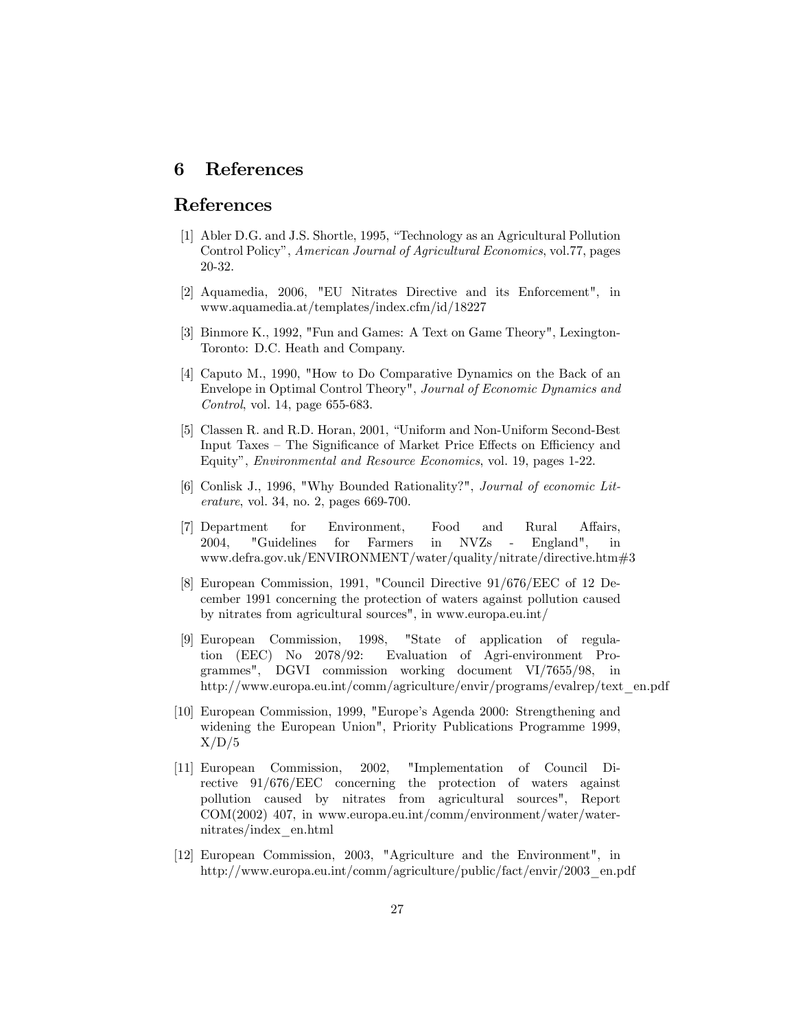#### References 6

## References

- [1] Abler D.G. and J.S. Shortle, 1995, "Technology as an Agricultural Pollution Control Policy", American Journal of Agricultural Economics, vol.77, pages  $20-32.$
- [2] Aquamedia, 2006, "EU Nitrates Directive and its Enforcement", in www.aquamedia.at/templates/index.cfm/id/18227
- [3] Binmore K., 1992, "Fun and Games: A Text on Game Theory", Lexington-Toronto: D.C. Heath and Company.
- [4] Caputo M., 1990, "How to Do Comparative Dynamics on the Back of an Envelope in Optimal Control Theory", Journal of Economic Dynamics and *Control*, vol. 14, page  $655-683$ .
- [5] Classen R. and R.D. Horan, 2001, "Uniform and Non-Uniform Second-Best Input Taxes – The Significance of Market Price Effects on Efficiency and Equity", *Environmental and Resource Economics*, vol. 19, pages 1-22.
- [6] Conlisk J., 1996, "Why Bounded Rationality?", Journal of economic Lit*erature*, vol. 34, no. 2, pages  $669-700$ .
- and [7] Department for Environment, Food Rural Affairs. 2004. "Guidelines  $for$ Farmers  $\operatorname{in}$ **NVZs** England".  $\mathbf{i}$  $\overline{a}$ www.defra.gov.uk/ENVIRONMENT/water/quality/nitrate/directive.htm#3
- [8] European Commission, 1991, "Council Directive 91/676/EEC of 12 December 1991 concerning the protection of waters against pollution caused by nitrates from agricultural sources", in www.europa.eu.int/
- 1998. "State of application of regula-[9] European Commission, tion  $(EEC)$  No  $2078/92$ : Evaluation of Agri-environment Programmes", DGVI commission working document VI/7655/98, in http://www.europa.eu.int/comm/agriculture/envir/programs/evalrep/text en.pdf
- [10] European Commission, 1999, "Europe's Agenda 2000: Strengthening and widening the European Union", Priority Publications Programme 1999,  $X/D/5$
- [11] European Commission, 2002. "Implementation of Council Directive 91/676/EEC concerning the protection of waters against pollution caused by nitrates from agricultural sources", Report  $COM(2002)$  407, in www.europa.eu.int/comm/environment/water/waternitrates/index en.html
- [12] European Commission, 2003, "Agriculture and the Environment", in http://www.europa.eu.int/comm/agriculture/public/fact/envir/2003 en.pdf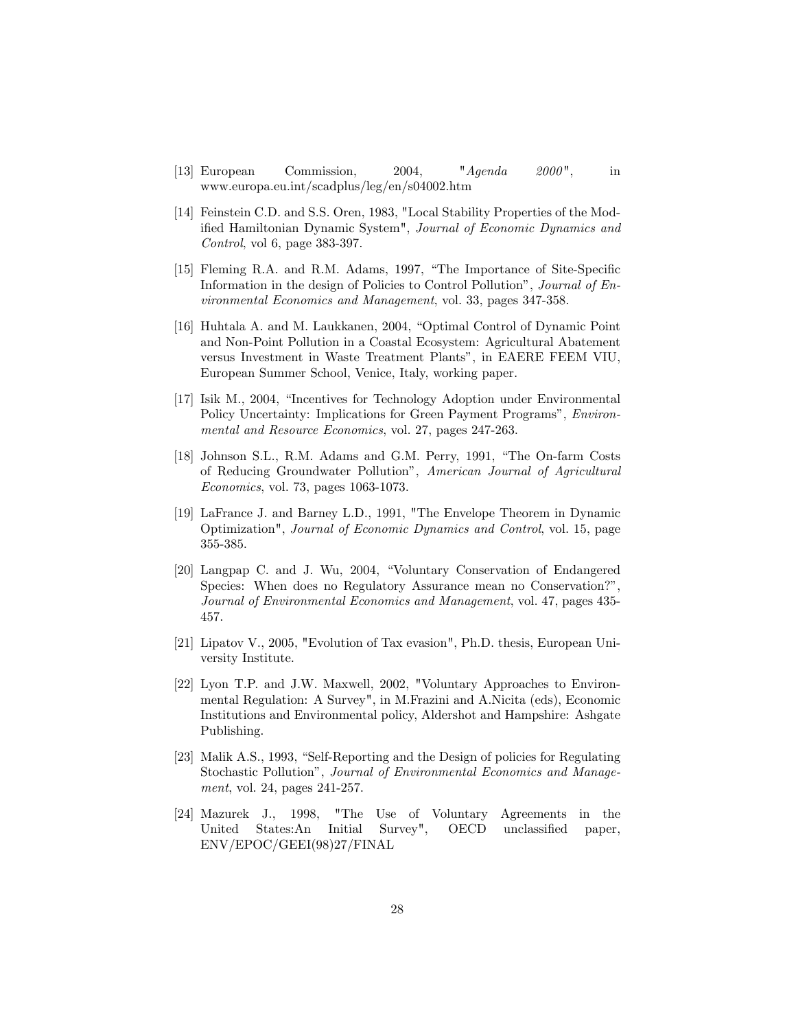- $"A \ngenda$  $[13]$  European Commission, 2004,  $2000$ ", in www.europa.eu.int/scadplus/leg/en/s04002.htm
- [14] Feinstein C.D. and S.S. Oren, 1983, "Local Stability Properties of the Modified Hamiltonian Dynamic System", Journal of Economic Dynamics and Control, vol 6, page 383-397.
- [15] Fleming R.A. and R.M. Adams, 1997, "The Importance of Site-Specific Information in the design of Policies to Control Pollution", Journal of Environmental Economics and Management, vol. 33, pages 347-358.
- [16] Huhtala A. and M. Laukkanen, 2004, "Optimal Control of Dynamic Point" and Non-Point Pollution in a Coastal Ecosystem: Agricultural Abatement versus Investment in Waste Treatment Plants", in EAERE FEEM VIU, European Summer School, Venice, Italy, working paper.
- [17] Isik M., 2004, "Incentives for Technology Adoption under Environmental Policy Uncertainty: Implications for Green Payment Programs", Environmental and Resource Economics, vol. 27, pages 247-263.
- [18] Johnson S.L., R.M. Adams and G.M. Perry, 1991, "The On-farm Costs of Reducing Groundwater Pollution", American Journal of Agricultural *Economics*, vol. 73, pages 1063-1073.
- [19] LaFrance J. and Barney L.D., 1991, "The Envelope Theorem in Dynamic Optimization", Journal of Economic Dynamics and Control, vol. 15, page  $355 - 385.$
- [20] Langpap C. and J. Wu, 2004, "Voluntary Conservation of Endangered Species: When does no Regulatory Assurance mean no Conservation?", Journal of Environmental Economics and Management, vol. 47, pages 435-457.
- [21] Lipatov V., 2005, "Evolution of Tax evasion", Ph.D. thesis, European University Institute.
- [22] Lyon T.P. and J.W. Maxwell, 2002, "Voluntary Approaches to Environmental Regulation: A Survey", in M.Frazini and A.Nicita (eds), Economic Institutions and Environmental policy, Aldershot and Hampshire: Ashgate Publishing.
- [23] Malik A.S., 1993, "Self-Reporting and the Design of policies for Regulating Stochastic Pollution", Journal of Environmental Economics and Management, vol. 24, pages 241-257.
- [24] Mazurek J., 1998,  $"The$ Use of Voluntary Agreements in the Initial Survey", **OECD** unclassified United States:An paper, ENV/EPOC/GEEI(98)27/FINAL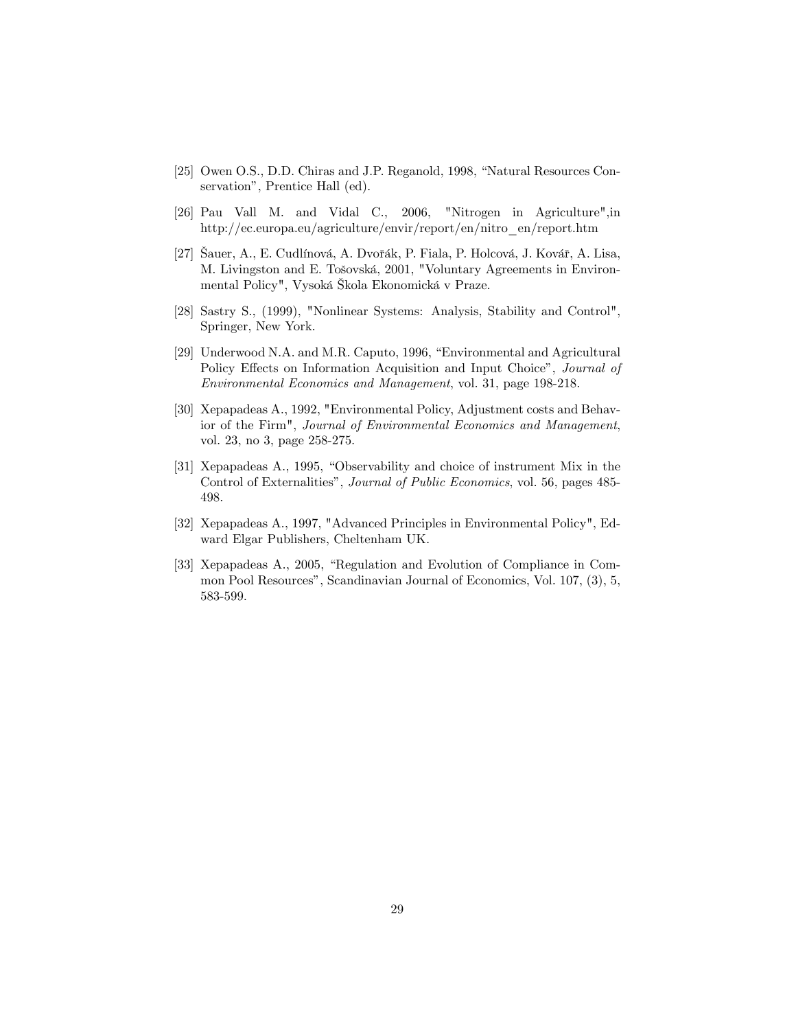- [25] Owen O.S., D.D. Chiras and J.P. Reganold, 1998, "Natural Resources Conservation", Prentice Hall (ed).
- [26] Pau Vall M. and Vidal C., 2006, "Nitrogen in Agriculture",in http://ec.europa.eu/agriculture/envir/report/en/nitro\_en/report.htm
- [27] Sauer, A., E. Cudlínová, A. Dvořák, P. Fiala, P. Holcová, J. Kovář, A. Lisa, M. Livingston and E. Tošovská, 2001, "Voluntary Agreements in Environmental Policy", Vysoká Škola Ekonomická v Praze.
- [28] Sastry S., (1999), "Nonlinear Systems: Analysis, Stability and Control", Springer, New York.
- [29] Underwood N.A. and M.R. Caputo, 1996, "Environmental and Agricultural Policy Effects on Information Acquisition and Input Choice", Journal of *Environmental Economics and Management*, vol. 31, page 198-218.
- [30] Xepapadeas A., 1992, "Environmental Policy, Adjustment costs and Behavior of the Firm", Journal of Environmental Economics and Management, vol. 23, no 3, page 258-275.
- [31] Xepapadeas A., 1995, "Observability and choice of instrument Mix in the Control of Externalities", *Journal of Public Economics*, vol. 56, pages 485-498.
- [32] Xepapadeas A., 1997, "Advanced Principles in Environmental Policy", Edward Elgar Publishers, Cheltenham UK.
- [33] Xepapadeas A., 2005, "Regulation and Evolution of Compliance in Common Pool Resources", Scandinavian Journal of Economics, Vol. 107, (3), 5, 583-599.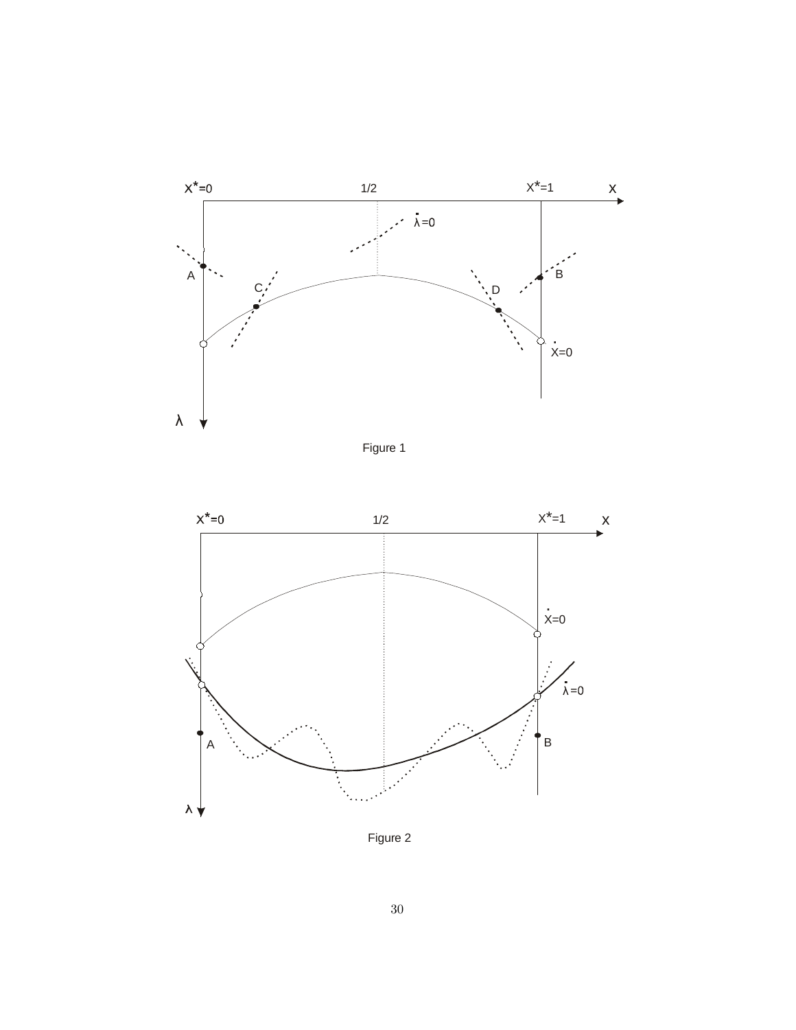

Figure 1



Figure 2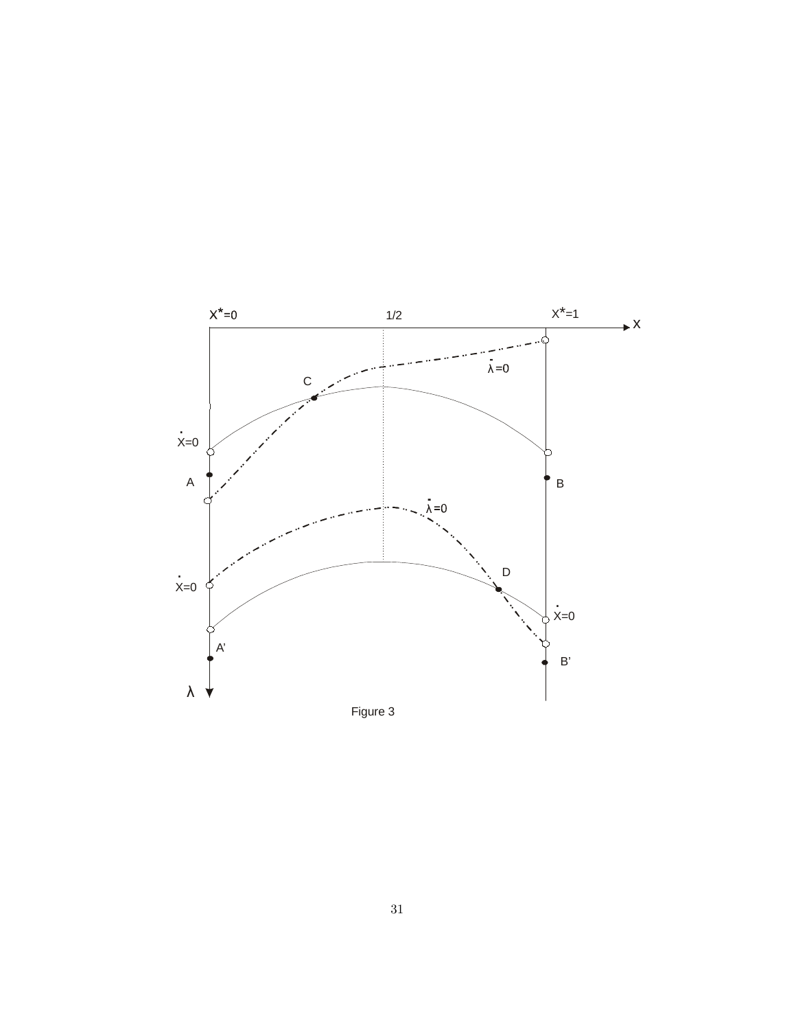

Figure 3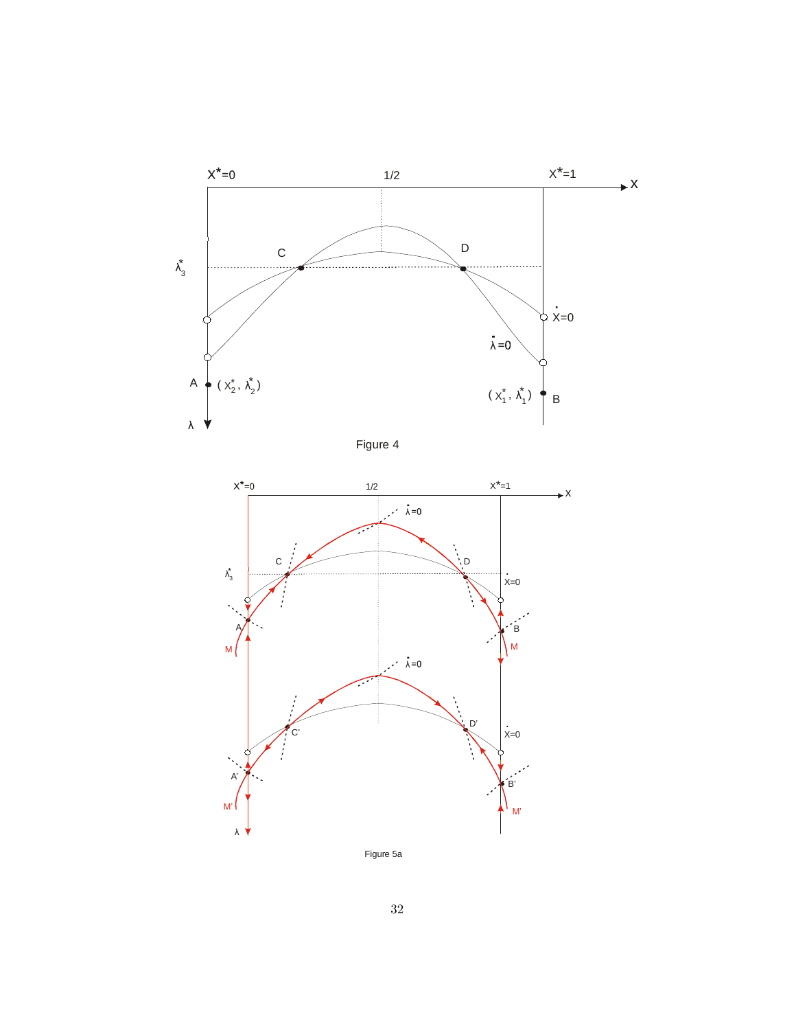





Figure 5a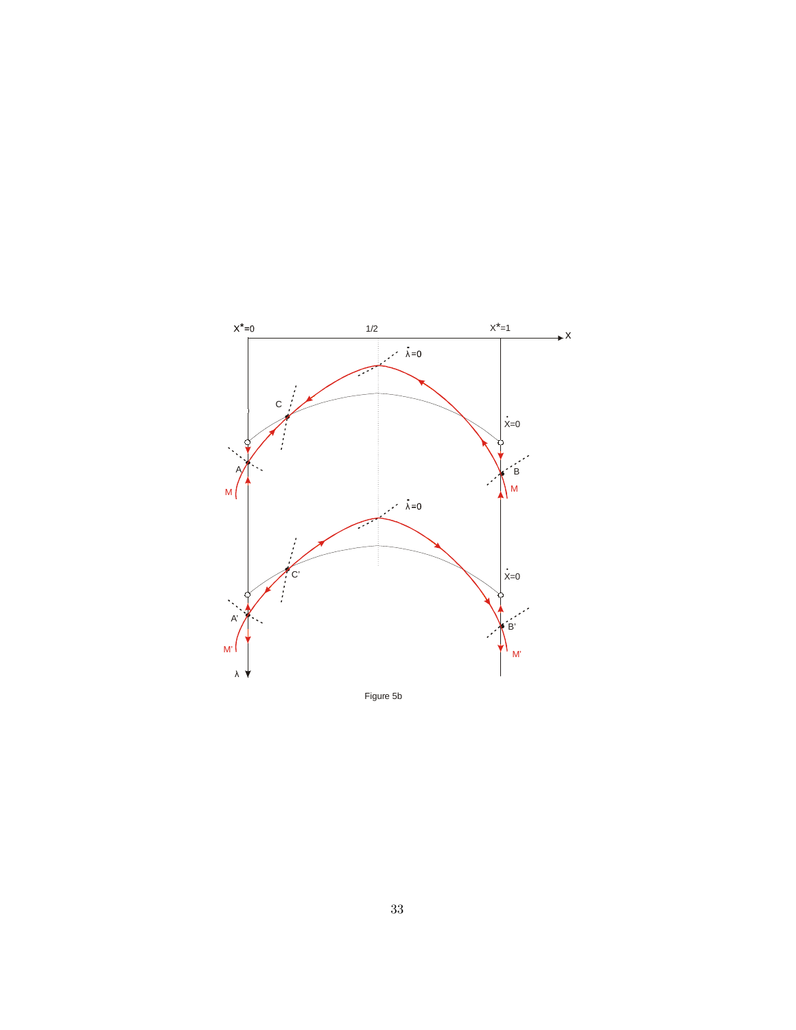

Figure 5b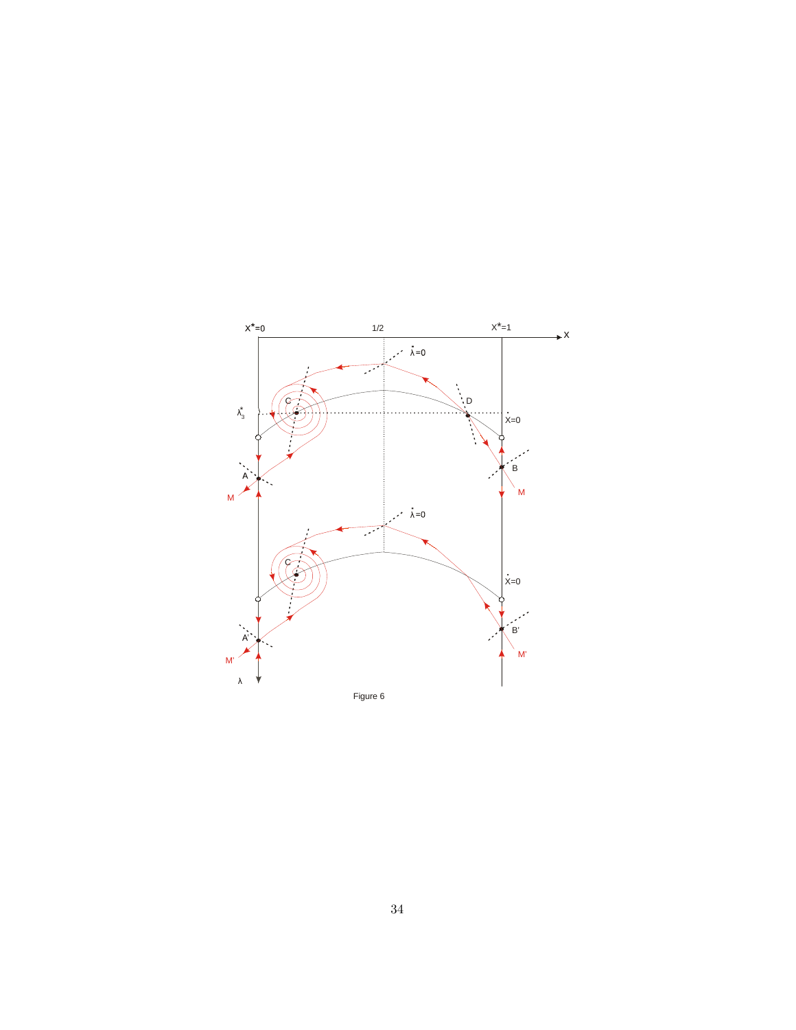